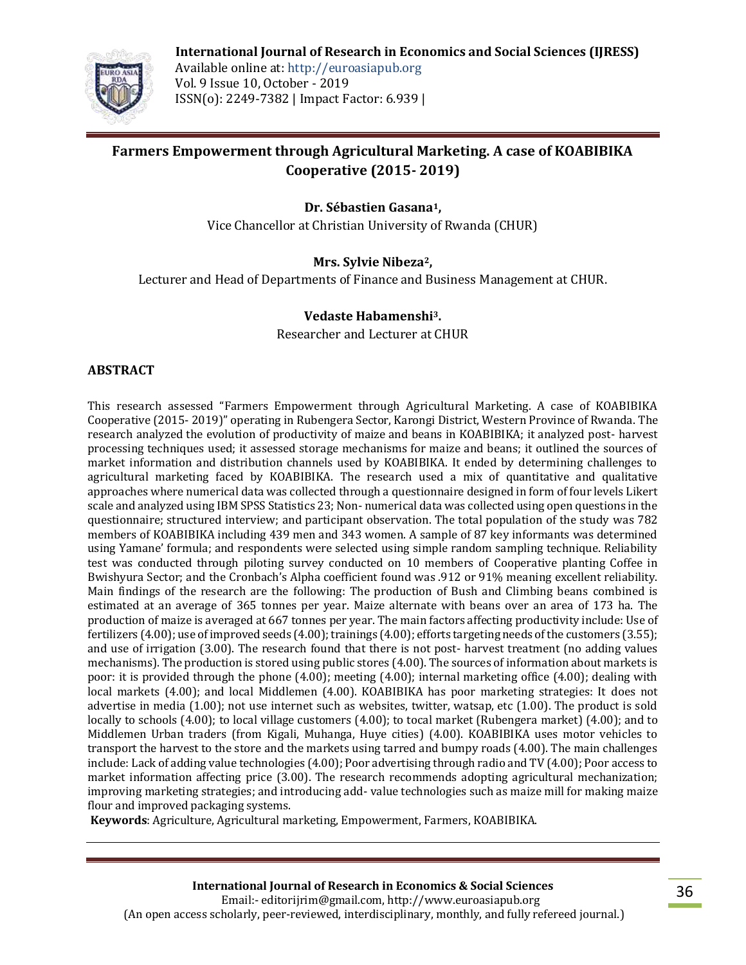

**International Journal of Research in Economics and Social Sciences (IJRESS)** Available online at: http://euroasiapub.org Vol. 9 Issue 10, October - 2019 ISSN(o): 2249-7382 | Impact Factor: 6.939 |

# **Farmers Empowerment through Agricultural Marketing. A case of KOABIBIKA Cooperative (2015- 2019)**

**Dr. Sébastien Gasana1,**

Vice Chancellor at Christian University of Rwanda (CHUR)

#### **Mrs. Sylvie Nibeza2,**

Lecturer and Head of Departments of Finance and Business Management at CHUR.

#### **Vedaste Habamenshi3.**

Researcher and Lecturer at CHUR

#### **ABSTRACT**

This research assessed "Farmers Empowerment through Agricultural Marketing. A case of KOABIBIKA Cooperative (2015- 2019)" operating in Rubengera Sector, Karongi District, Western Province of Rwanda. The research analyzed the evolution of productivity of maize and beans in KOABIBIKA; it analyzed post- harvest processing techniques used; it assessed storage mechanisms for maize and beans; it outlined the sources of market information and distribution channels used by KOABIBIKA. It ended by determining challenges to agricultural marketing faced by KOABIBIKA. The research used a mix of quantitative and qualitative approaches where numerical data was collected through a questionnaire designed in form of four levels Likert scale and analyzed using IBM SPSS Statistics 23; Non- numerical data was collected using open questions in the questionnaire; structured interview; and participant observation. The total population of the study was 782 members of KOABIBIKA including 439 men and 343 women. A sample of 87 key informants was determined using Yamane' formula; and respondents were selected using simple random sampling technique. Reliability test was conducted through piloting survey conducted on 10 members of Cooperative planting Coffee in Bwishyura Sector; and the Cronbach's Alpha coefficient found was .912 or 91% meaning excellent reliability. Main findings of the research are the following: The production of Bush and Climbing beans combined is estimated at an average of 365 tonnes per year. Maize alternate with beans over an area of 173 ha. The production of maize is averaged at 667 tonnes per year. The main factors affecting productivity include: Use of fertilizers (4.00); use of improved seeds (4.00); trainings (4.00); efforts targeting needs of the customers (3.55); and use of irrigation (3.00). The research found that there is not post- harvest treatment (no adding values mechanisms). The production is stored using public stores (4.00). The sources of information about markets is poor: it is provided through the phone (4.00); meeting (4.00); internal marketing office (4.00); dealing with local markets (4.00); and local Middlemen (4.00). KOABIBIKA has poor marketing strategies: It does not advertise in media (1.00); not use internet such as websites, twitter, watsap, etc (1.00). The product is sold locally to schools (4.00); to local village customers (4.00); to tocal market (Rubengera market) (4.00); and to Middlemen Urban traders (from Kigali, Muhanga, Huye cities) (4.00). KOABIBIKA uses motor vehicles to transport the harvest to the store and the markets using tarred and bumpy roads (4.00). The main challenges include: Lack of adding value technologies (4.00); Poor advertising through radio and TV (4.00); Poor access to market information affecting price (3.00). The research recommends adopting agricultural mechanization; improving marketing strategies; and introducing add- value technologies such as maize mill for making maize flour and improved packaging systems.

**Keywords**: Agriculture, Agricultural marketing, Empowerment, Farmers, KOABIBIKA.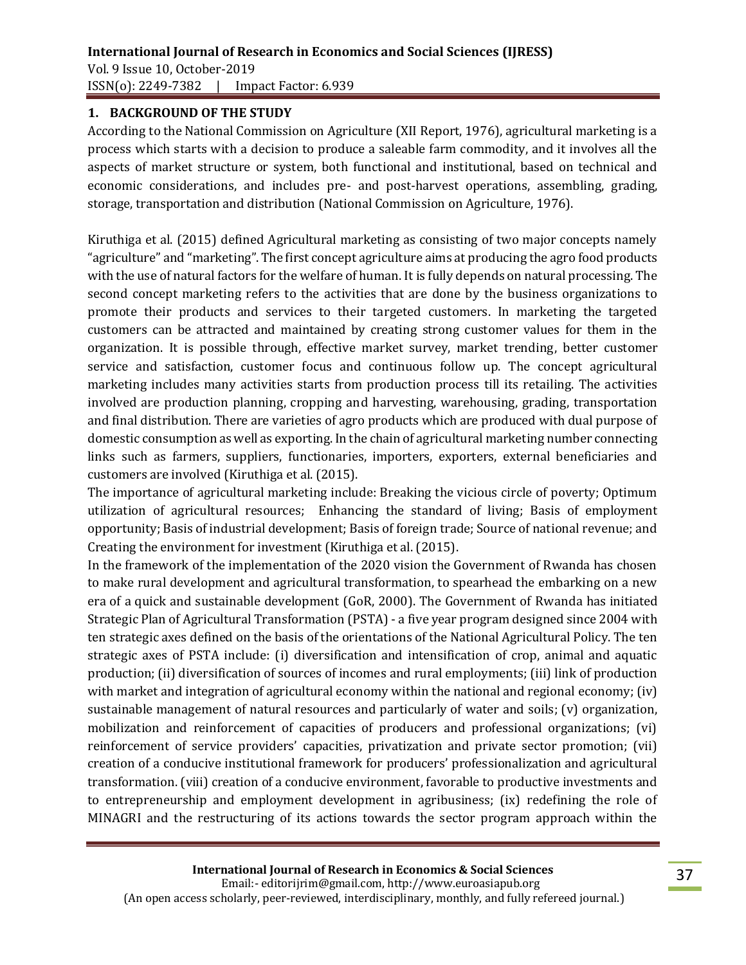### **1. BACKGROUND OF THE STUDY**

According to the National Commission on Agriculture (XII Report, 1976), agricultural marketing is a process which starts with a decision to produce a saleable farm commodity, and it involves all the aspects of market structure or system, both functional and institutional, based on technical and economic considerations, and includes pre- and post-harvest operations, assembling, grading, storage, transportation and distribution (National Commission on Agriculture, 1976).

Kiruthiga et al. (2015) defined Agricultural marketing as consisting of two major concepts namely "agriculture" and "marketing". The first concept agriculture aims at producing the agro food products with the use of natural factors for the welfare of human. It is fully depends on natural processing. The second concept marketing refers to the activities that are done by the business organizations to promote their products and services to their targeted customers. In marketing the targeted customers can be attracted and maintained by creating strong customer values for them in the organization. It is possible through, effective market survey, market trending, better customer service and satisfaction, customer focus and continuous follow up. The concept agricultural marketing includes many activities starts from production process till its retailing. The activities involved are production planning, cropping and harvesting, warehousing, grading, transportation and final distribution. There are varieties of agro products which are produced with dual purpose of domestic consumption as well as exporting. In the chain of agricultural marketing number connecting links such as farmers, suppliers, functionaries, importers, exporters, external beneficiaries and customers are involved (Kiruthiga et al. (2015).

The importance of agricultural marketing include: Breaking the vicious circle of poverty; Optimum utilization of agricultural resources; Enhancing the standard of living; Basis of employment opportunity; Basis of industrial development; Basis of foreign trade; Source of national revenue; and Creating the environment for investment (Kiruthiga et al. (2015).

In the framework of the implementation of the 2020 vision the Government of Rwanda has chosen to make rural development and agricultural transformation, to spearhead the embarking on a new era of a quick and sustainable development (GoR, 2000). The Government of Rwanda has initiated Strategic Plan of Agricultural Transformation (PSTA) - a five year program designed since 2004 with ten strategic axes defined on the basis of the orientations of the National Agricultural Policy. The ten strategic axes of PSTA include: (i) diversification and intensification of crop, animal and aquatic production; (ii) diversification of sources of incomes and rural employments; (iii) link of production with market and integration of agricultural economy within the national and regional economy; (iv) sustainable management of natural resources and particularly of water and soils; (v) organization, mobilization and reinforcement of capacities of producers and professional organizations; (vi) reinforcement of service providers' capacities, privatization and private sector promotion; (vii) creation of a conducive institutional framework for producers' professionalization and agricultural transformation. (viii) creation of a conducive environment, favorable to productive investments and to entrepreneurship and employment development in agribusiness; (ix) redefining the role of MINAGRI and the restructuring of its actions towards the sector program approach within the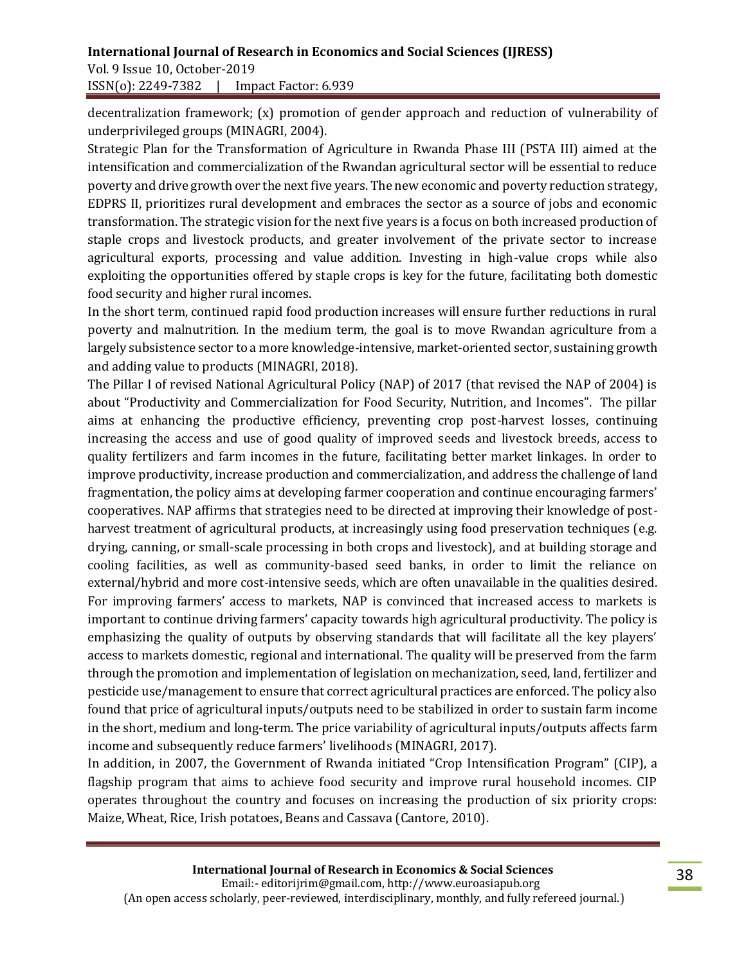Vol. 9 Issue 10, October-2019 ISSN(o): 2249-7382 | Impact Factor: 6.939

decentralization framework; (x) promotion of gender approach and reduction of vulnerability of underprivileged groups (MINAGRI, 2004).

Strategic Plan for the Transformation of Agriculture in Rwanda Phase III (PSTA III) aimed at the intensification and commercialization of the Rwandan agricultural sector will be essential to reduce poverty and drive growth over the next five years. The new economic and poverty reduction strategy, EDPRS II, prioritizes rural development and embraces the sector as a source of jobs and economic transformation. The strategic vision for the next five years is a focus on both increased production of staple crops and livestock products, and greater involvement of the private sector to increase agricultural exports, processing and value addition. Investing in high-value crops while also exploiting the opportunities offered by staple crops is key for the future, facilitating both domestic food security and higher rural incomes.

In the short term, continued rapid food production increases will ensure further reductions in rural poverty and malnutrition. In the medium term, the goal is to move Rwandan agriculture from a largely subsistence sector to a more knowledge-intensive, market-oriented sector, sustaining growth and adding value to products (MINAGRI, 2018).

The Pillar I of revised National Agricultural Policy (NAP) of 2017 (that revised the NAP of 2004) is about "Productivity and Commercialization for Food Security, Nutrition, and Incomes". The pillar aims at enhancing the productive efficiency, preventing crop post-harvest losses, continuing increasing the access and use of good quality of improved seeds and livestock breeds, access to quality fertilizers and farm incomes in the future, facilitating better market linkages. In order to improve productivity, increase production and commercialization, and address the challenge of land fragmentation, the policy aims at developing farmer cooperation and continue encouraging farmers' cooperatives. NAP affirms that strategies need to be directed at improving their knowledge of postharvest treatment of agricultural products, at increasingly using food preservation techniques (e.g. drying, canning, or small-scale processing in both crops and livestock), and at building storage and cooling facilities, as well as community-based seed banks, in order to limit the reliance on external/hybrid and more cost-intensive seeds, which are often unavailable in the qualities desired. For improving farmers' access to markets, NAP is convinced that increased access to markets is important to continue driving farmers' capacity towards high agricultural productivity. The policy is emphasizing the quality of outputs by observing standards that will facilitate all the key players' access to markets domestic, regional and international. The quality will be preserved from the farm through the promotion and implementation of legislation on mechanization, seed, land, fertilizer and pesticide use/management to ensure that correct agricultural practices are enforced. The policy also found that price of agricultural inputs/outputs need to be stabilized in order to sustain farm income in the short, medium and long-term. The price variability of agricultural inputs/outputs affects farm income and subsequently reduce farmers' livelihoods (MINAGRI, 2017).

In addition, in 2007, the Government of Rwanda initiated "Crop Intensification Program" (CIP), a flagship program that aims to achieve food security and improve rural household incomes. CIP operates throughout the country and focuses on increasing the production of six priority crops: Maize, Wheat, Rice, Irish potatoes, Beans and Cassava (Cantore, 2010).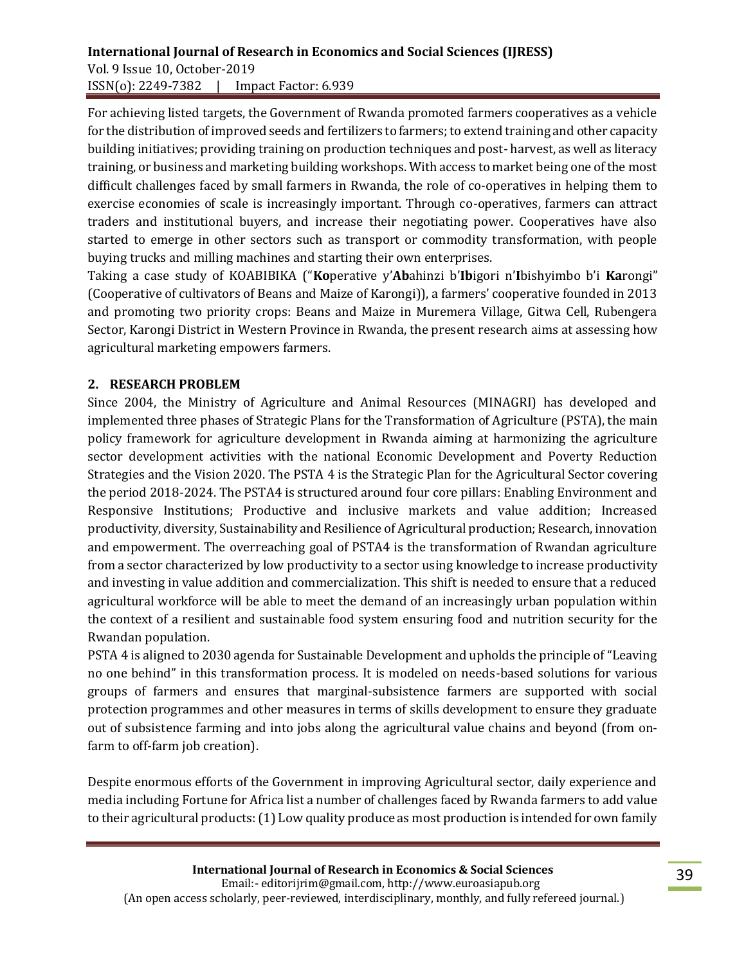#### **International Journal of Research in Economics and Social Sciences (IJRESS)**  Vol. 9 Issue 10, October-2019 ISSN(o): 2249-7382 | Impact Factor: 6.939

For achieving listed targets, the Government of Rwanda promoted farmers cooperatives as a vehicle for the distribution of improved seeds and fertilizers to farmers; to extend training and other capacity building initiatives; providing training on production techniques and post- harvest, as well as literacy training, or business and marketing building workshops. With access to market being one of the most difficult challenges faced by small farmers in Rwanda, the role of co-operatives in helping them to exercise economies of scale is increasingly important. Through co-operatives, farmers can attract traders and institutional buyers, and increase their negotiating power. Cooperatives have also started to emerge in other sectors such as transport or commodity transformation, with people buying trucks and milling machines and starting their own enterprises.

Taking a case study of KOABIBIKA ("**Ko**perative y'**Ab**ahinzi b'**Ib**igori n'**I**bishyimbo b'i **Ka**rongi" (Cooperative of cultivators of Beans and Maize of Karongi)), a farmers' cooperative founded in 2013 and promoting two priority crops: Beans and Maize in Muremera Village, Gitwa Cell, Rubengera Sector, Karongi District in Western Province in Rwanda, the present research aims at assessing how agricultural marketing empowers farmers.

### **2. RESEARCH PROBLEM**

Since 2004, the Ministry of Agriculture and Animal Resources (MINAGRI) has developed and implemented three phases of Strategic Plans for the Transformation of Agriculture (PSTA), the main policy framework for agriculture development in Rwanda aiming at harmonizing the agriculture sector development activities with the national Economic Development and Poverty Reduction Strategies and the Vision 2020. The PSTA 4 is the Strategic Plan for the Agricultural Sector covering the period 2018-2024. The PSTA4 is structured around four core pillars: Enabling Environment and Responsive Institutions; Productive and inclusive markets and value addition; Increased productivity, diversity, Sustainability and Resilience of Agricultural production; Research, innovation and empowerment. The overreaching goal of PSTA4 is the transformation of Rwandan agriculture from a sector characterized by low productivity to a sector using knowledge to increase productivity and investing in value addition and commercialization. This shift is needed to ensure that a reduced agricultural workforce will be able to meet the demand of an increasingly urban population within the context of a resilient and sustainable food system ensuring food and nutrition security for the Rwandan population.

PSTA 4 is aligned to 2030 agenda for Sustainable Development and upholds the principle of "Leaving no one behind" in this transformation process. It is modeled on needs-based solutions for various groups of farmers and ensures that marginal-subsistence farmers are supported with social protection programmes and other measures in terms of skills development to ensure they graduate out of subsistence farming and into jobs along the agricultural value chains and beyond (from onfarm to off-farm job creation).

Despite enormous efforts of the Government in improving Agricultural sector, daily experience and media including Fortune for Africa list a number of challenges faced by Rwanda farmers to add value to their agricultural products: (1) Low quality produce as most production is intended for own family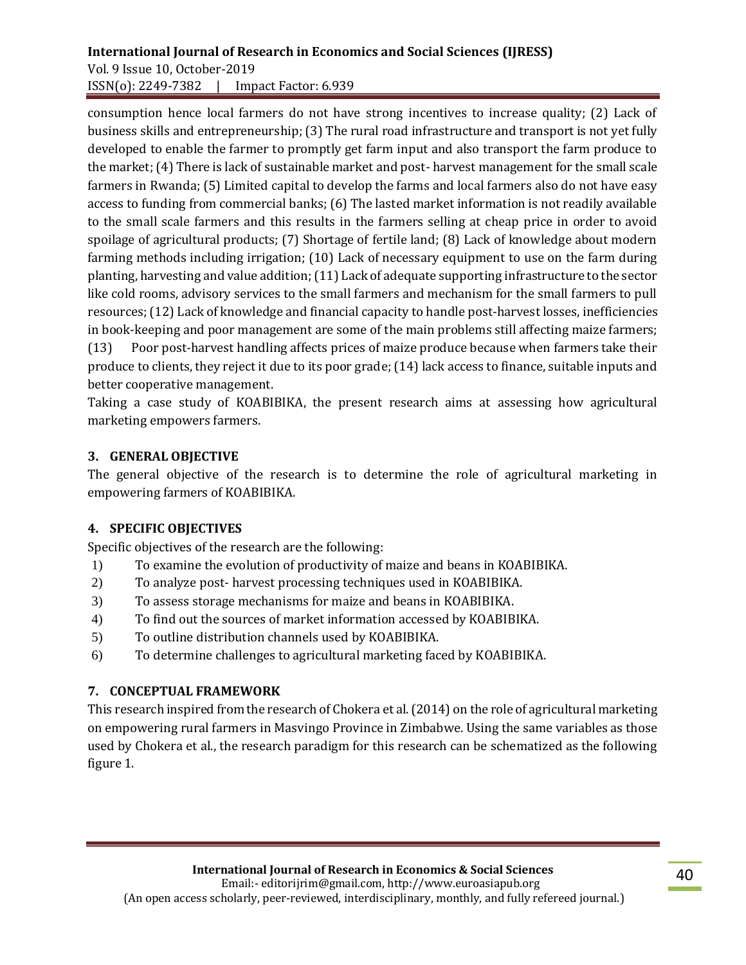# **International Journal of Research in Economics and Social Sciences (IJRESS)**  Vol. 9 Issue 10, October-2019

ISSN(o): 2249-7382 | Impact Factor: 6.939

consumption hence local farmers do not have strong incentives to increase quality; (2) Lack of business skills and entrepreneurship; (3) The rural road infrastructure and transport is not yet fully developed to enable the farmer to promptly get farm input and also transport the farm produce to the market; (4) There is lack of sustainable market and post- harvest management for the small scale farmers in Rwanda; (5) Limited capital to develop the farms and local farmers also do not have easy access to funding from commercial banks; (6) The lasted market information is not readily available to the small scale farmers and this results in the farmers selling at cheap price in order to avoid spoilage of agricultural products; (7) Shortage of fertile land; (8) Lack of knowledge about modern farming methods including irrigation; (10) Lack of necessary equipment to use on the farm during planting, harvesting and value addition; (11) Lack of adequate supporting infrastructure to the sector like cold rooms, advisory services to the small farmers and mechanism for the small farmers to pull resources; (12) Lack of knowledge and financial capacity to handle post-harvest losses, inefficiencies in book-keeping and poor management are some of the main problems still affecting maize farmers; (13) Poor post-harvest handling affects prices of maize produce because when farmers take their produce to clients, they reject it due to its poor grade; (14) lack access to finance, suitable inputs and better cooperative management.

Taking a case study of KOABIBIKA, the present research aims at assessing how agricultural marketing empowers farmers.

# **3. GENERAL OBJECTIVE**

The general objective of the research is to determine the role of agricultural marketing in empowering farmers of KOABIBIKA.

# **4. SPECIFIC OBJECTIVES**

Specific objectives of the research are the following:

- 1) To examine the evolution of productivity of maize and beans in KOABIBIKA.
- 2) To analyze post- harvest processing techniques used in KOABIBIKA.
- 3) To assess storage mechanisms for maize and beans in KOABIBIKA.
- 4) To find out the sources of market information accessed by KOABIBIKA.
- 5) To outline distribution channels used by KOABIBIKA.
- 6) To determine challenges to agricultural marketing faced by KOABIBIKA.

### **7. CONCEPTUAL FRAMEWORK**

This research inspired from the research of Chokera et al. (2014) on the role of agricultural marketing on empowering rural farmers in Masvingo Province in Zimbabwe. Using the same variables as those used by Chokera et al., the research paradigm for this research can be schematized as the following figure 1.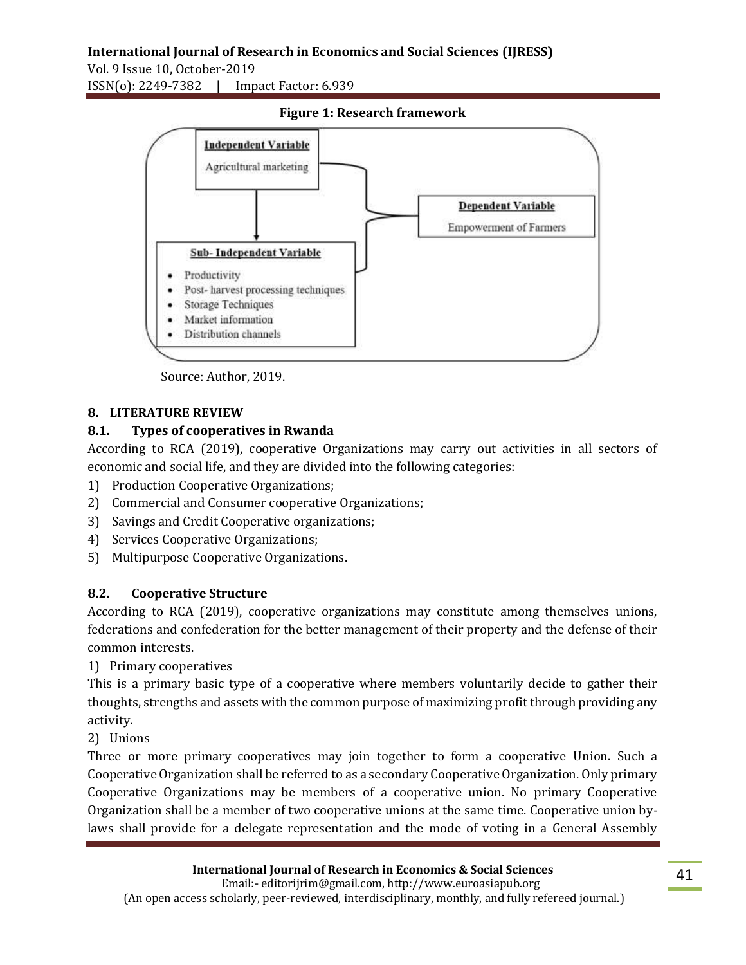**International Journal of Research in Economics and Social Sciences (IJRESS)**  Vol. 9 Issue 10, October-2019 ISSN(o): 2249-7382 | Impact Factor: 6.939



**Figure 1: Research framework**

Source: Author, 2019.

#### **8. LITERATURE REVIEW**

#### **8.1. Types of cooperatives in Rwanda**

According to RCA (2019), cooperative Organizations may carry out activities in all sectors of economic and social life, and they are divided into the following categories:

- 1) Production Cooperative Organizations;
- 2) Commercial and Consumer cooperative Organizations;
- 3) Savings and Credit Cooperative organizations;
- 4) Services Cooperative Organizations;
- 5) Multipurpose Cooperative Organizations.

#### **8.2. Cooperative Structure**

According to RCA (2019), cooperative organizations may constitute among themselves unions, federations and confederation for the better management of their property and the defense of their common interests.

1) Primary cooperatives

This is a primary basic type of a cooperative where members voluntarily decide to gather their thoughts, strengths and assets with the common purpose of maximizing profit through providing any activity.

2) Unions

Three or more primary cooperatives may join together to form a cooperative Union. Such a Cooperative Organization shall be referred to as a secondary Cooperative Organization. Only primary Cooperative Organizations may be members of a cooperative union. No primary Cooperative Organization shall be a member of two cooperative unions at the same time. Cooperative union bylaws shall provide for a delegate representation and the mode of voting in a General Assembly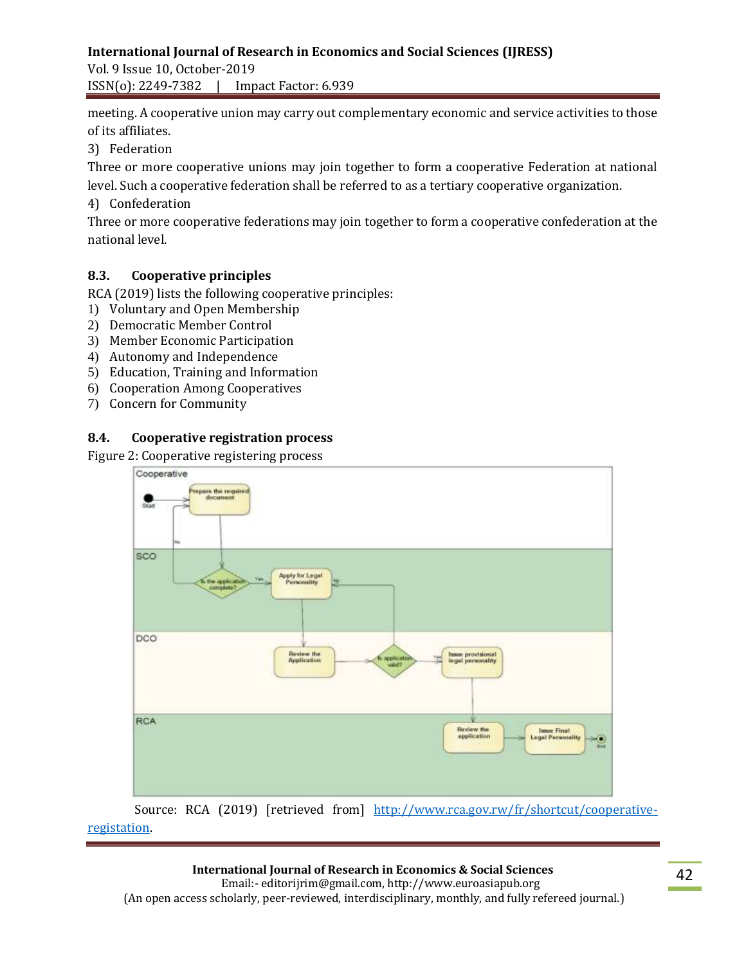Vol. 9 Issue 10, October-2019 ISSN(o): 2249-7382 | Impact Factor: 6.939

meeting. A cooperative union may carry out complementary economic and service activities to those of its affiliates.

3) Federation

Three or more cooperative unions may join together to form a cooperative Federation at national level. Such a cooperative federation shall be referred to as a tertiary cooperative organization.

4) Confederation

Three or more cooperative federations may join together to form a cooperative confederation at the national level.

### **8.3. Cooperative principles**

RCA (2019) lists the following cooperative principles:

- 1) Voluntary and Open Membership
- 2) Democratic Member Control
- 3) Member Economic Participation
- 4) Autonomy and Independence
- 5) Education, Training and Information
- 6) Cooperation Among Cooperatives
- 7) Concern for Community

### **8.4. Cooperative registration process**

Figure 2: Cooperative registering process



 Source: RCA (2019) [retrieved from] [http://www.rca.gov.rw/fr/shortcut/cooperative](http://www.rca.gov.rw/fr/shortcut/cooperative-%20%20%20%20%20registation)[registation.](http://www.rca.gov.rw/fr/shortcut/cooperative-%20%20%20%20%20registation)

#### **International Journal of Research in Economics & Social Sciences**

 Email:- editorijrim@gmail.com, http://www.euroasiapub.org (An open access scholarly, peer-reviewed, interdisciplinary, monthly, and fully refereed journal.)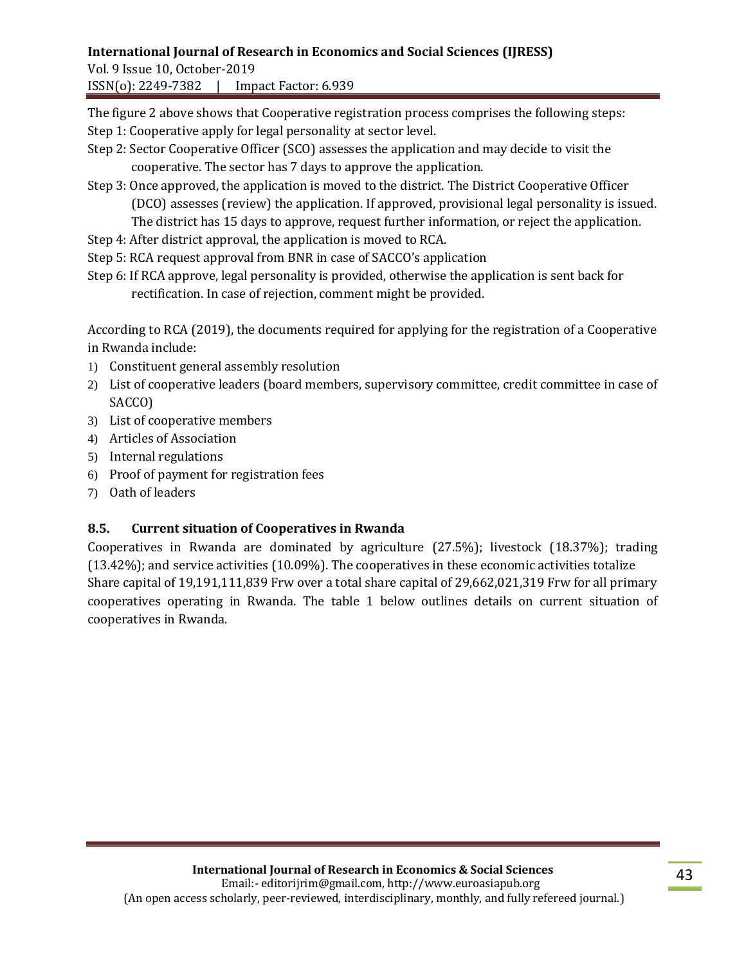Vol. 9 Issue 10, October-2019 ISSN(o): 2249-7382 | Impact Factor: 6.939

The figure 2 above shows that Cooperative registration process comprises the following steps:

- Step 1: Cooperative apply for legal personality at sector level.
- Step 2: Sector Cooperative Officer (SCO) assesses the application and may decide to visit the cooperative. The sector has 7 days to approve the application.
- Step 3: Once approved, the application is moved to the district. The District Cooperative Officer (DCO) assesses (review) the application. If approved, provisional legal personality is issued. The district has 15 days to approve, request further information, or reject the application.
- Step 4: After district approval, the application is moved to RCA.
- Step 5: RCA request approval from BNR in case of SACCO's application
- Step 6: If RCA approve, legal personality is provided, otherwise the application is sent back for rectification. In case of rejection, comment might be provided.

According to RCA (2019), the documents required for applying for the registration of a Cooperative in Rwanda include:

- 1) Constituent general assembly resolution
- 2) List of cooperative leaders (board members, supervisory committee, credit committee in case of SACCO)
- 3) List of cooperative members
- 4) Articles of Association
- 5) Internal regulations
- 6) Proof of payment for registration fees
- 7) Oath of leaders

# **8.5. Current situation of Cooperatives in Rwanda**

Cooperatives in Rwanda are dominated by agriculture (27.5%); livestock (18.37%); trading (13.42%); and service activities (10.09%). The cooperatives in these economic activities totalize Share capital of 19,191,111,839 Frw over a total share capital of 29,662,021,319 Frw for all primary cooperatives operating in Rwanda. The table 1 below outlines details on current situation of cooperatives in Rwanda.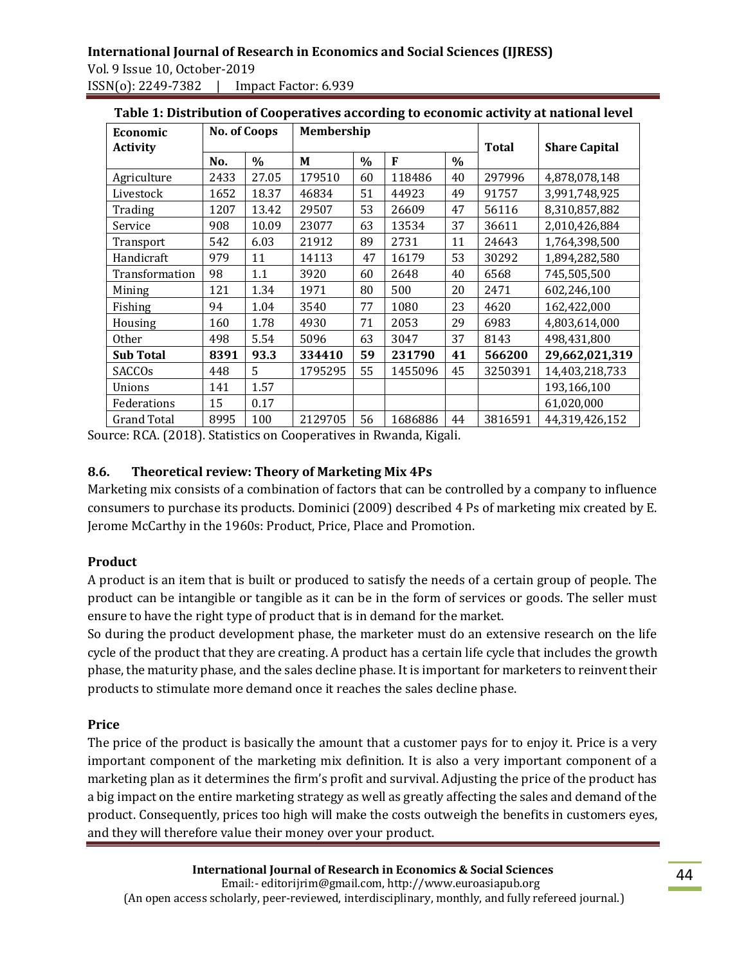| Table 1: Distribution of Cooperatives according to economic activity at national level |                     |       |            |      |         |      |              |                      |  |
|----------------------------------------------------------------------------------------|---------------------|-------|------------|------|---------|------|--------------|----------------------|--|
| Economic                                                                               | <b>No. of Coops</b> |       | Membership |      |         |      |              |                      |  |
| <b>Activity</b>                                                                        |                     |       |            |      |         |      | <b>Total</b> | <b>Share Capital</b> |  |
|                                                                                        | No.                 | $\%$  | M          | $\%$ | F       | $\%$ |              |                      |  |
| Agriculture                                                                            | 2433                | 27.05 | 179510     | 60   | 118486  | 40   | 297996       | 4,878,078,148        |  |
| Livestock                                                                              | 1652                | 18.37 | 46834      | 51   | 44923   | 49   | 91757        | 3,991,748,925        |  |
| Trading                                                                                | 1207                | 13.42 | 29507      | 53   | 26609   | 47   | 56116        | 8,310,857,882        |  |
| Service                                                                                | 908                 | 10.09 | 23077      | 63   | 13534   | 37   | 36611        | 2,010,426,884        |  |
| Transport                                                                              | 542                 | 6.03  | 21912      | 89   | 2731    | 11   | 24643        | 1,764,398,500        |  |
| Handicraft                                                                             | 979                 | 11    | 14113      | 47   | 16179   | 53   | 30292        | 1,894,282,580        |  |
| Transformation                                                                         | 98                  | 1.1   | 3920       | 60   | 2648    | 40   | 6568         | 745,505,500          |  |
| Mining                                                                                 | 121                 | 1.34  | 1971       | 80   | 500     | 20   | 2471         | 602,246,100          |  |
| Fishing                                                                                | 94                  | 1.04  | 3540       | 77   | 1080    | 23   | 4620         | 162,422,000          |  |
| Housing                                                                                | 160                 | 1.78  | 4930       | 71   | 2053    | 29   | 6983         | 4,803,614,000        |  |
| <b>Other</b>                                                                           | 498                 | 5.54  | 5096       | 63   | 3047    | 37   | 8143         | 498,431,800          |  |
| <b>Sub Total</b>                                                                       | 8391                | 93.3  | 334410     | 59   | 231790  | 41   | 566200       | 29,662,021,319       |  |
| <b>SACCOs</b>                                                                          | 448                 | 5.    | 1795295    | 55   | 1455096 | 45   | 3250391      | 14,403,218,733       |  |
| Unions                                                                                 | 141                 | 1.57  |            |      |         |      |              | 193,166,100          |  |
| Federations                                                                            | 15                  | 0.17  |            |      |         |      |              | 61,020,000           |  |
| <b>Grand Total</b>                                                                     | 8995                | 100   | 2129705    | 56   | 1686886 | 44   | 3816591      | 44,319,426,152       |  |

| Table 1: Distribution of Cooperatives according to economic activity at national level |  |  |
|----------------------------------------------------------------------------------------|--|--|
|                                                                                        |  |  |

Source: RCA. (2018). Statistics on Cooperatives in Rwanda, Kigali.

#### **8.6. Theoretical review: Theory of Marketing Mix 4Ps**

Marketing mix consists of a combination of factors that can be controlled by a company to influence consumers to purchase its products. Dominici (2009) described 4 Ps of marketing mix created by E. Jerome McCarthy in the 1960s: Product, Price, Place and Promotion.

#### **Product**

A product is an item that is built or produced to satisfy the needs of a certain group of people. The product can be intangible or tangible as it can be in the form of services or goods. The seller must ensure to have the right type of product that is in demand for the market.

So during the product development phase, the marketer must do an extensive research on the life cycle of the product that they are creating. A product has a certain life cycle that includes the growth phase, the maturity phase, and the sales decline phase. It is important for marketers to reinvent their products to stimulate more demand once it reaches the sales decline phase.

#### **Price**

The price of the product is basically the amount that a customer pays for to enjoy it. Price is a very important component of the marketing mix definition. It is also a very important component of a marketing plan as it determines the firm's profit and survival. Adjusting the price of the product has a big impact on the entire marketing strategy as well as greatly affecting the sales and demand of the product. Consequently, prices too high will make the costs outweigh the benefits in customers eyes, and they will therefore value their money over your product.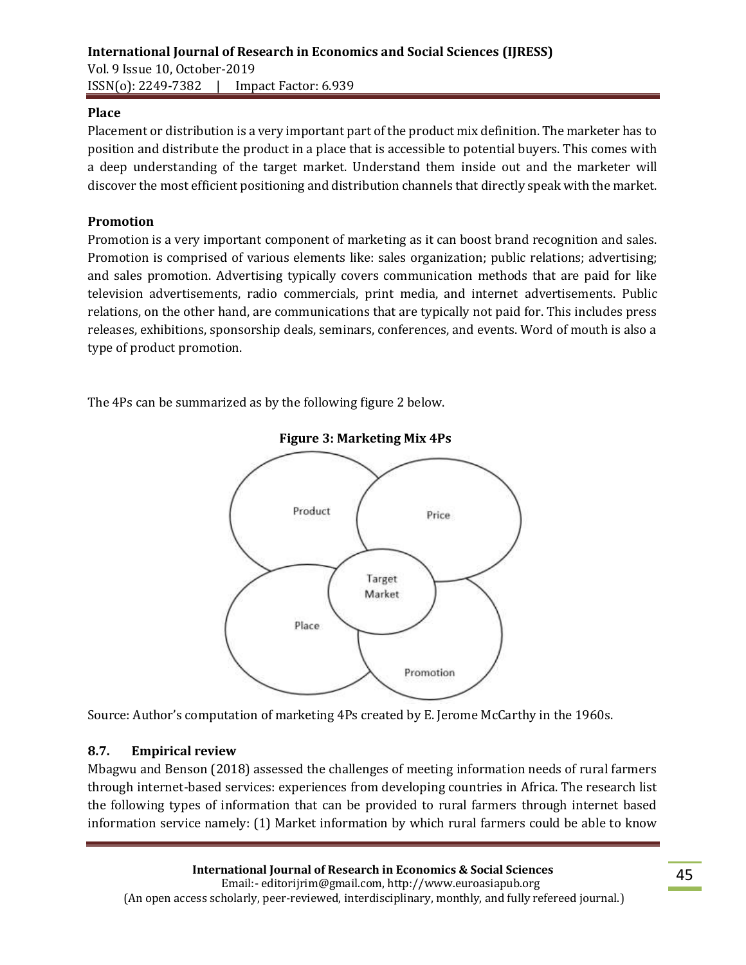### **Place**

Placement or distribution is a very important part of the product mix definition. The marketer has to position and distribute the product in a place that is accessible to potential buyers. This comes with a deep understanding of the target market. Understand them inside out and the marketer will discover the most efficient positioning and distribution channels that directly speak with the market.

### **Promotion**

Promotion is a very important component of marketing as it can boost brand recognition and sales. Promotion is comprised of various elements like: sales organization; public relations; advertising; and sales promotion. Advertising typically covers communication methods that are paid for like television advertisements, radio commercials, print media, and internet advertisements. Public relations, on the other hand, are communications that are typically not paid for. This includes press releases, exhibitions, sponsorship deals, seminars, conferences, and events. Word of mouth is also a type of product promotion.

The 4Ps can be summarized as by the following figure 2 below.



**Figure 3: Marketing Mix 4Ps**

Source: Author's computation of marketing 4Ps created by E. Jerome McCarthy in the 1960s.

#### **8.7. Empirical review**

Mbagwu and Benson (2018) assessed the challenges of meeting information needs of rural farmers through internet-based services: experiences from developing countries in Africa. The research list the following types of information that can be provided to rural farmers through internet based information service namely: (1) Market information by which rural farmers could be able to know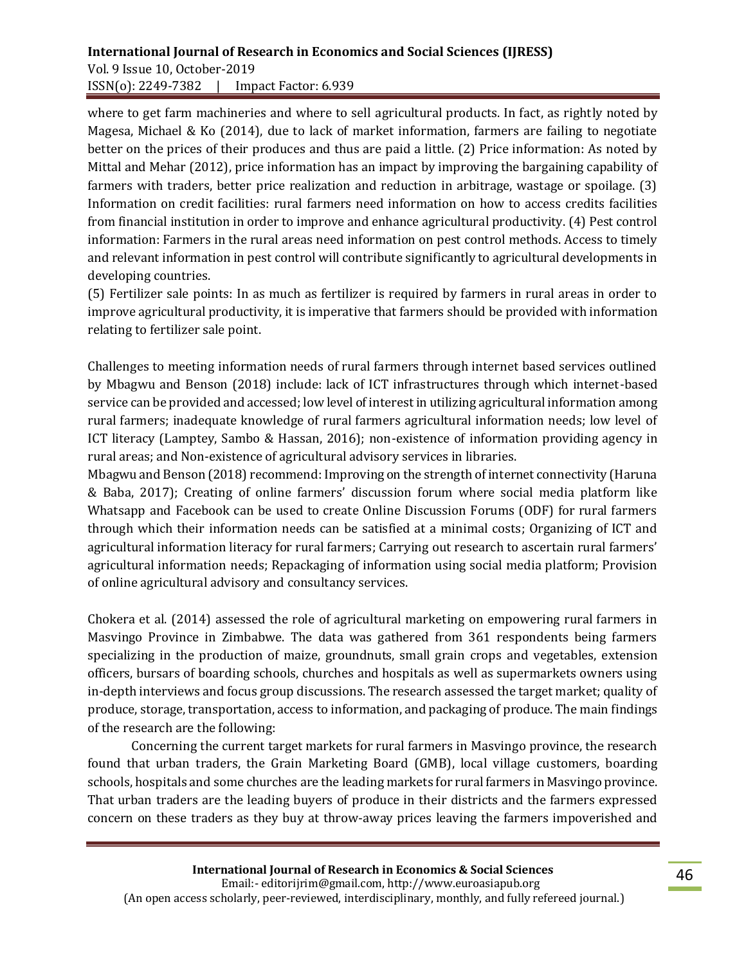# **International Journal of Research in Economics and Social Sciences (IJRESS)**  Vol. 9 Issue 10, October-2019

ISSN(o): 2249-7382 | Impact Factor: 6.939

where to get farm machineries and where to sell agricultural products. In fact, as rightly noted by Magesa, Michael & Ko (2014), due to lack of market information, farmers are failing to negotiate better on the prices of their produces and thus are paid a little. (2) Price information: As noted by Mittal and Mehar (2012), price information has an impact by improving the bargaining capability of farmers with traders, better price realization and reduction in arbitrage, wastage or spoilage. (3) Information on credit facilities: rural farmers need information on how to access credits facilities from financial institution in order to improve and enhance agricultural productivity. (4) Pest control information: Farmers in the rural areas need information on pest control methods. Access to timely and relevant information in pest control will contribute significantly to agricultural developments in developing countries.

(5) Fertilizer sale points: In as much as fertilizer is required by farmers in rural areas in order to improve agricultural productivity, it is imperative that farmers should be provided with information relating to fertilizer sale point.

Challenges to meeting information needs of rural farmers through internet based services outlined by Mbagwu and Benson (2018) include: lack of ICT infrastructures through which internet-based service can be provided and accessed; low level of interest in utilizing agricultural information among rural farmers; inadequate knowledge of rural farmers agricultural information needs; low level of ICT literacy (Lamptey, Sambo & Hassan, 2016); non-existence of information providing agency in rural areas; and Non-existence of agricultural advisory services in libraries.

Mbagwu and Benson (2018) recommend: Improving on the strength of internet connectivity (Haruna & Baba, 2017); Creating of online farmers' discussion forum where social media platform like Whatsapp and Facebook can be used to create Online Discussion Forums (ODF) for rural farmers through which their information needs can be satisfied at a minimal costs; Organizing of ICT and agricultural information literacy for rural farmers; Carrying out research to ascertain rural farmers' agricultural information needs; Repackaging of information using social media platform; Provision of online agricultural advisory and consultancy services.

Chokera et al. (2014) assessed the role of agricultural marketing on empowering rural farmers in Masvingo Province in Zimbabwe. The data was gathered from 361 respondents being farmers specializing in the production of maize, groundnuts, small grain crops and vegetables, extension officers, bursars of boarding schools, churches and hospitals as well as supermarkets owners using in-depth interviews and focus group discussions. The research assessed the target market; quality of produce, storage, transportation, access to information, and packaging of produce. The main findings of the research are the following:

Concerning the current target markets for rural farmers in Masvingo province, the research found that urban traders, the Grain Marketing Board (GMB), local village customers, boarding schools, hospitals and some churches are the leading markets for rural farmers in Masvingo province. That urban traders are the leading buyers of produce in their districts and the farmers expressed concern on these traders as they buy at throw-away prices leaving the farmers impoverished and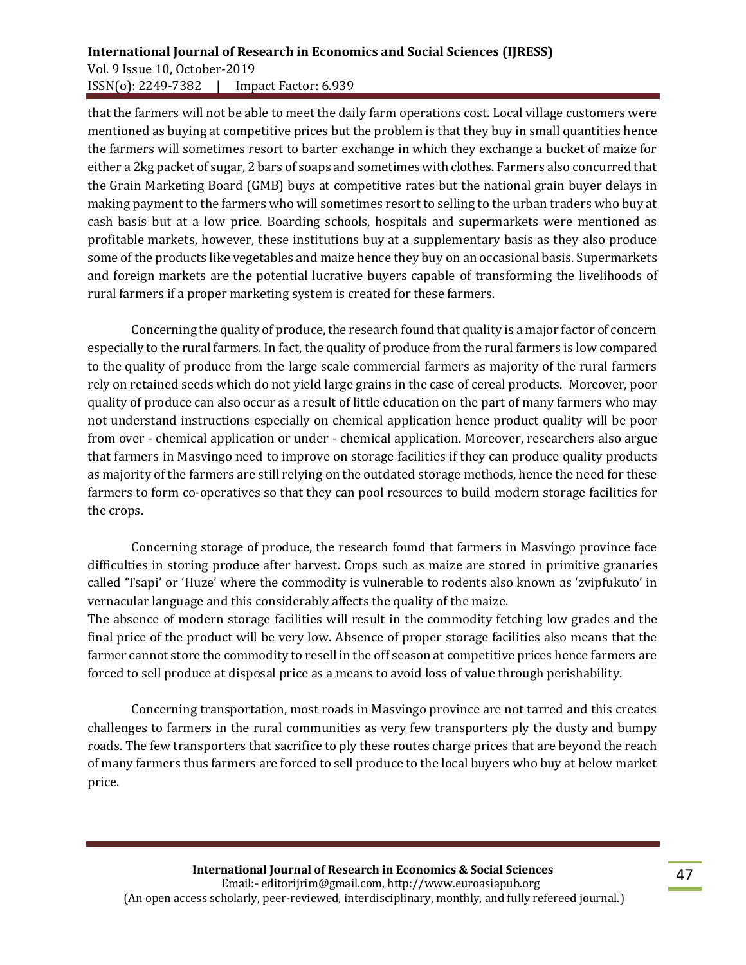### **International Journal of Research in Economics and Social Sciences (IJRESS)**  Vol. 9 Issue 10, October-2019 ISSN(o): 2249-7382 | Impact Factor: 6.939

that the farmers will not be able to meet the daily farm operations cost. Local village customers were mentioned as buying at competitive prices but the problem is that they buy in small quantities hence the farmers will sometimes resort to barter exchange in which they exchange a bucket of maize for either a 2kg packet of sugar, 2 bars of soaps and sometimes with clothes. Farmers also concurred that the Grain Marketing Board (GMB) buys at competitive rates but the national grain buyer delays in making payment to the farmers who will sometimes resort to selling to the urban traders who buy at cash basis but at a low price. Boarding schools, hospitals and supermarkets were mentioned as profitable markets, however, these institutions buy at a supplementary basis as they also produce some of the products like vegetables and maize hence they buy on an occasional basis. Supermarkets and foreign markets are the potential lucrative buyers capable of transforming the livelihoods of rural farmers if a proper marketing system is created for these farmers.

Concerning the quality of produce, the research found that quality is a major factor of concern especially to the rural farmers. In fact, the quality of produce from the rural farmers is low compared to the quality of produce from the large scale commercial farmers as majority of the rural farmers rely on retained seeds which do not yield large grains in the case of cereal products. Moreover, poor quality of produce can also occur as a result of little education on the part of many farmers who may not understand instructions especially on chemical application hence product quality will be poor from over - chemical application or under - chemical application. Moreover, researchers also argue that farmers in Masvingo need to improve on storage facilities if they can produce quality products as majority of the farmers are still relying on the outdated storage methods, hence the need for these farmers to form co-operatives so that they can pool resources to build modern storage facilities for the crops.

Concerning storage of produce, the research found that farmers in Masvingo province face difficulties in storing produce after harvest. Crops such as maize are stored in primitive granaries called 'Tsapi' or 'Huze' where the commodity is vulnerable to rodents also known as 'zvipfukuto' in vernacular language and this considerably affects the quality of the maize.

The absence of modern storage facilities will result in the commodity fetching low grades and the final price of the product will be very low. Absence of proper storage facilities also means that the farmer cannot store the commodity to resell in the off season at competitive prices hence farmers are forced to sell produce at disposal price as a means to avoid loss of value through perishability.

Concerning transportation, most roads in Masvingo province are not tarred and this creates challenges to farmers in the rural communities as very few transporters ply the dusty and bumpy roads. The few transporters that sacrifice to ply these routes charge prices that are beyond the reach of many farmers thus farmers are forced to sell produce to the local buyers who buy at below market price.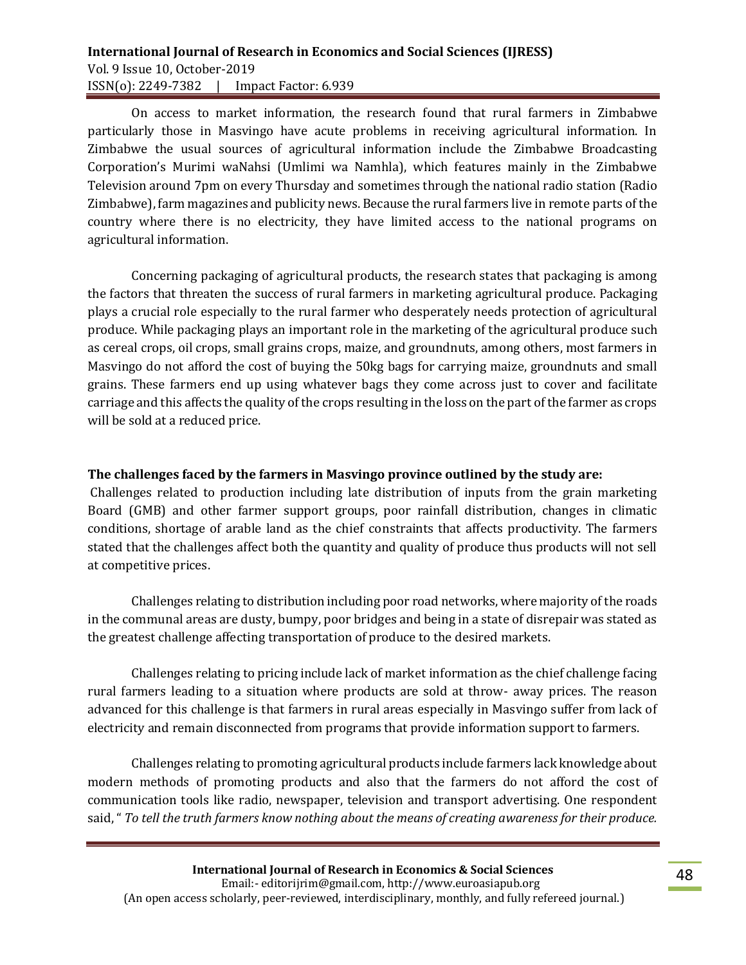### **International Journal of Research in Economics and Social Sciences (IJRESS)**  Vol. 9 Issue 10, October-2019 ISSN(o): 2249-7382 | Impact Factor: 6.939

On access to market information, the research found that rural farmers in Zimbabwe particularly those in Masvingo have acute problems in receiving agricultural information. In Zimbabwe the usual sources of agricultural information include the Zimbabwe Broadcasting Corporation's Murimi waNahsi (Umlimi wa Namhla), which features mainly in the Zimbabwe Television around 7pm on every Thursday and sometimes through the national radio station (Radio Zimbabwe), farm magazines and publicity news. Because the rural farmers live in remote parts of the country where there is no electricity, they have limited access to the national programs on agricultural information.

Concerning packaging of agricultural products, the research states that packaging is among the factors that threaten the success of rural farmers in marketing agricultural produce. Packaging plays a crucial role especially to the rural farmer who desperately needs protection of agricultural produce. While packaging plays an important role in the marketing of the agricultural produce such as cereal crops, oil crops, small grains crops, maize, and groundnuts, among others, most farmers in Masvingo do not afford the cost of buying the 50kg bags for carrying maize, groundnuts and small grains. These farmers end up using whatever bags they come across just to cover and facilitate carriage and this affects the quality of the crops resulting in the loss on the part of the farmer as crops will be sold at a reduced price.

#### **The challenges faced by the farmers in Masvingo province outlined by the study are:**

Challenges related to production including late distribution of inputs from the grain marketing Board (GMB) and other farmer support groups, poor rainfall distribution, changes in climatic conditions, shortage of arable land as the chief constraints that affects productivity. The farmers stated that the challenges affect both the quantity and quality of produce thus products will not sell at competitive prices.

Challenges relating to distribution including poor road networks, where majority of the roads in the communal areas are dusty, bumpy, poor bridges and being in a state of disrepair was stated as the greatest challenge affecting transportation of produce to the desired markets.

Challenges relating to pricing include lack of market information as the chief challenge facing rural farmers leading to a situation where products are sold at throw- away prices. The reason advanced for this challenge is that farmers in rural areas especially in Masvingo suffer from lack of electricity and remain disconnected from programs that provide information support to farmers.

Challenges relating to promoting agricultural products include farmers lack knowledge about modern methods of promoting products and also that the farmers do not afford the cost of communication tools like radio, newspaper, television and transport advertising. One respondent said, " *To tell the truth farmers know nothing about the means of creating awareness for their produce.*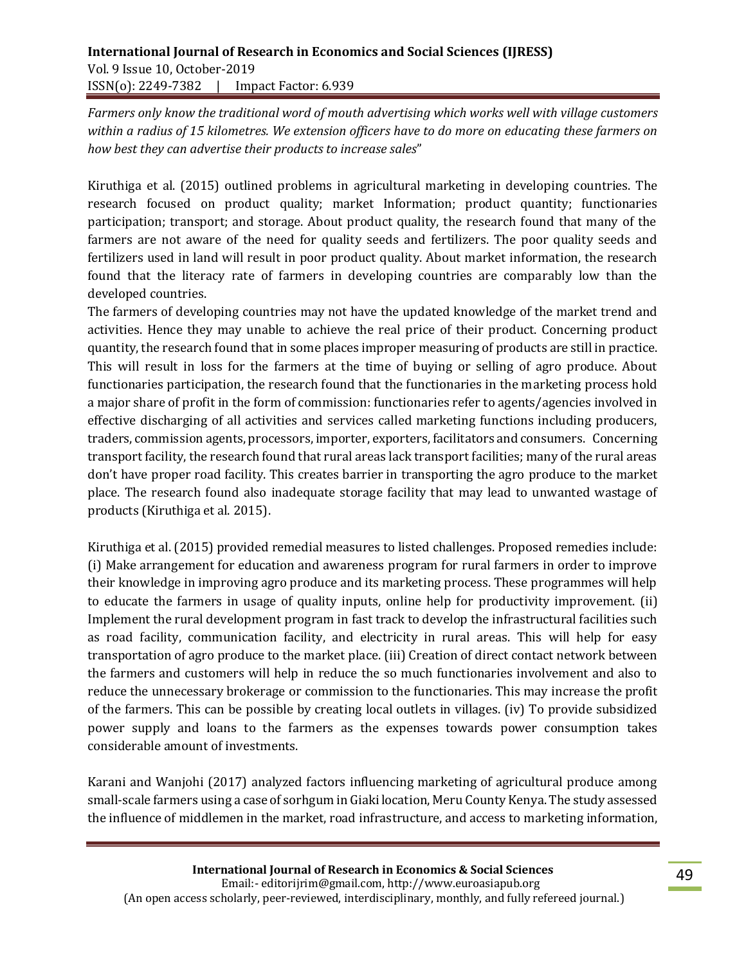*Farmers only know the traditional word of mouth advertising which works well with village customers within a radius of 15 kilometres. We extension officers have to do more on educating these farmers on how best they can advertise their products to increase sales*"

Kiruthiga et al. (2015) outlined problems in agricultural marketing in developing countries. The research focused on product quality; market Information; product quantity; functionaries participation; transport; and storage. About product quality, the research found that many of the farmers are not aware of the need for quality seeds and fertilizers. The poor quality seeds and fertilizers used in land will result in poor product quality. About market information, the research found that the literacy rate of farmers in developing countries are comparably low than the developed countries.

The farmers of developing countries may not have the updated knowledge of the market trend and activities. Hence they may unable to achieve the real price of their product. Concerning product quantity, the research found that in some places improper measuring of products are still in practice. This will result in loss for the farmers at the time of buying or selling of agro produce. About functionaries participation, the research found that the functionaries in the marketing process hold a major share of profit in the form of commission: functionaries refer to agents/agencies involved in effective discharging of all activities and services called marketing functions including producers, traders, commission agents, processors, importer, exporters, facilitators and consumers. Concerning transport facility, the research found that rural areas lack transport facilities; many of the rural areas don't have proper road facility. This creates barrier in transporting the agro produce to the market place. The research found also inadequate storage facility that may lead to unwanted wastage of products (Kiruthiga et al. 2015).

Kiruthiga et al. (2015) provided remedial measures to listed challenges. Proposed remedies include: (i) Make arrangement for education and awareness program for rural farmers in order to improve their knowledge in improving agro produce and its marketing process. These programmes will help to educate the farmers in usage of quality inputs, online help for productivity improvement. (ii) Implement the rural development program in fast track to develop the infrastructural facilities such as road facility, communication facility, and electricity in rural areas. This will help for easy transportation of agro produce to the market place. (iii) Creation of direct contact network between the farmers and customers will help in reduce the so much functionaries involvement and also to reduce the unnecessary brokerage or commission to the functionaries. This may increase the profit of the farmers. This can be possible by creating local outlets in villages. (iv) To provide subsidized power supply and loans to the farmers as the expenses towards power consumption takes considerable amount of investments.

Karani and Wanjohi (2017) analyzed factors influencing marketing of agricultural produce among small-scale farmers using a case of sorhgum in Giaki location, Meru County Kenya. The study assessed the influence of middlemen in the market, road infrastructure, and access to marketing information,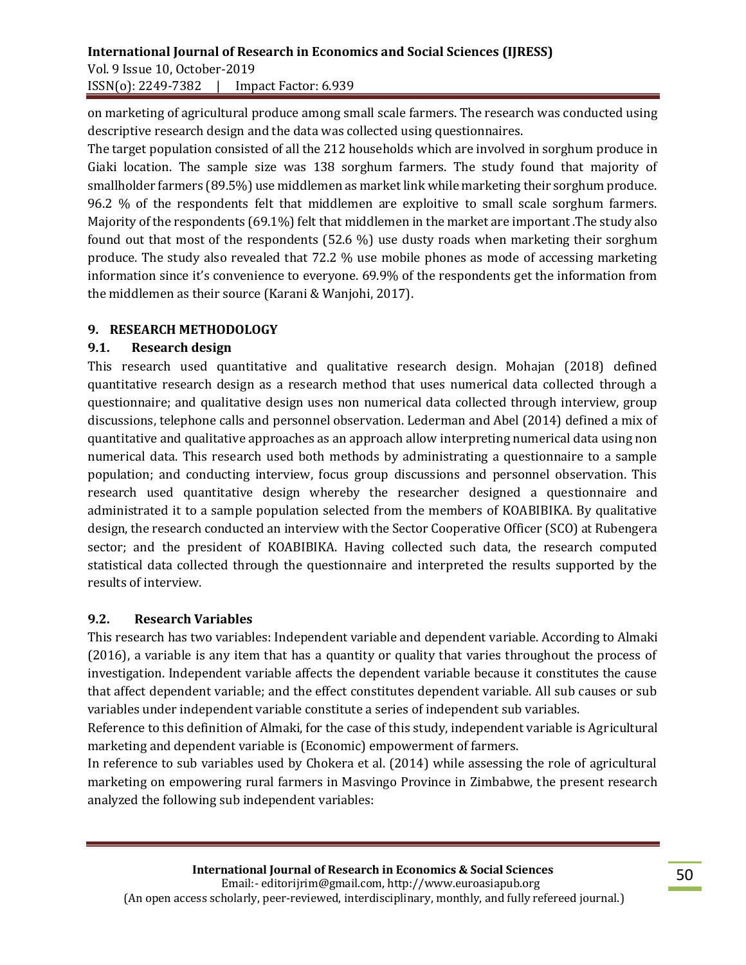on marketing of agricultural produce among small scale farmers. The research was conducted using descriptive research design and the data was collected using questionnaires.

The target population consisted of all the 212 households which are involved in sorghum produce in Giaki location. The sample size was 138 sorghum farmers. The study found that majority of smallholder farmers (89.5%) use middlemen as market link while marketing their sorghum produce. 96.2 % of the respondents felt that middlemen are exploitive to small scale sorghum farmers. Majority of the respondents (69.1%) felt that middlemen in the market are important .The study also found out that most of the respondents (52.6 %) use dusty roads when marketing their sorghum produce. The study also revealed that 72.2 % use mobile phones as mode of accessing marketing information since it's convenience to everyone. 69.9% of the respondents get the information from the middlemen as their source (Karani & Wanjohi, 2017).

### **9. RESEARCH METHODOLOGY**

#### **9.1. Research design**

This research used quantitative and qualitative research design. Mohajan (2018) defined quantitative research design as a research method that uses numerical data collected through a questionnaire; and qualitative design uses non numerical data collected through interview, group discussions, telephone calls and personnel observation. Lederman and Abel (2014) defined a mix of quantitative and qualitative approaches as an approach allow interpreting numerical data using non numerical data. This research used both methods by administrating a questionnaire to a sample population; and conducting interview, focus group discussions and personnel observation. This research used quantitative design whereby the researcher designed a questionnaire and administrated it to a sample population selected from the members of KOABIBIKA. By qualitative design, the research conducted an interview with the Sector Cooperative Officer (SCO) at Rubengera sector; and the president of KOABIBIKA. Having collected such data, the research computed statistical data collected through the questionnaire and interpreted the results supported by the results of interview.

#### **9.2. Research Variables**

This research has two variables: Independent variable and dependent variable. According to Almaki (2016), a variable is any item that has a quantity or quality that varies throughout the process of investigation. Independent variable affects the dependent variable because it constitutes the cause that affect dependent variable; and the effect constitutes dependent variable. All sub causes or sub variables under independent variable constitute a series of independent sub variables.

Reference to this definition of Almaki, for the case of this study, independent variable is Agricultural marketing and dependent variable is (Economic) empowerment of farmers.

In reference to sub variables used by Chokera et al. (2014) while assessing the role of agricultural marketing on empowering rural farmers in Masvingo Province in Zimbabwe, the present research analyzed the following sub independent variables: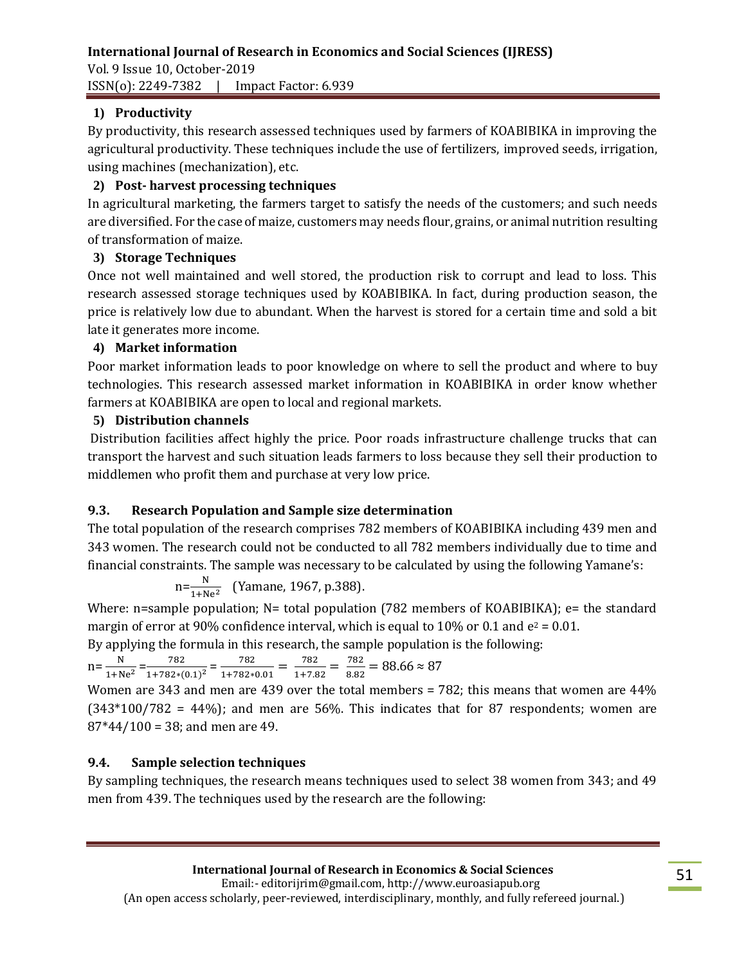ISSN(o): 2249-7382 | Impact Factor: 6.939

# **1) Productivity**

By productivity, this research assessed techniques used by farmers of KOABIBIKA in improving the agricultural productivity. These techniques include the use of fertilizers, improved seeds, irrigation, using machines (mechanization), etc.

### **2) Post- harvest processing techniques**

In agricultural marketing, the farmers target to satisfy the needs of the customers; and such needs are diversified. For the case of maize, customers may needs flour, grains, or animal nutrition resulting of transformation of maize.

# **3) Storage Techniques**

Once not well maintained and well stored, the production risk to corrupt and lead to loss. This research assessed storage techniques used by KOABIBIKA. In fact, during production season, the price is relatively low due to abundant. When the harvest is stored for a certain time and sold a bit late it generates more income.

# **4) Market information**

Poor market information leads to poor knowledge on where to sell the product and where to buy technologies. This research assessed market information in KOABIBIKA in order know whether farmers at KOABIBIKA are open to local and regional markets.

### **5) Distribution channels**

Distribution facilities affect highly the price. Poor roads infrastructure challenge trucks that can transport the harvest and such situation leads farmers to loss because they sell their production to middlemen who profit them and purchase at very low price.

# **9.3. Research Population and Sample size determination**

The total population of the research comprises 782 members of KOABIBIKA including 439 men and 343 women. The research could not be conducted to all 782 members individually due to time and financial constraints. The sample was necessary to be calculated by using the following Yamane's:

$$
n = \frac{N}{1 + Ne^2}
$$
 (Yamane, 1967, p.388).

Where: n=sample population; N= total population (782 members of KOABIBIKA); e= the standard margin of error at 90% confidence interval, which is equal to 10% or 0.1 and  $e^2 = 0.01$ .

By applying the formula in this research, the sample population is the following:

$$
n = \frac{N}{1 + Ne^2} = \frac{782}{1 + 782 \cdot (0.1)^2} = \frac{782}{1 + 782 \cdot 0.01} = \frac{782}{1 + 7.82} = \frac{782}{8.82} = 88.66 \approx 87
$$

Women are 343 and men are 439 over the total members = 782; this means that women are 44%  $(343*100/782 = 44%)$ ; and men are 56%. This indicates that for 87 respondents; women are  $87*44/100 = 38$ ; and men are 49.

### **9.4. Sample selection techniques**

By sampling techniques, the research means techniques used to select 38 women from 343; and 49 men from 439. The techniques used by the research are the following: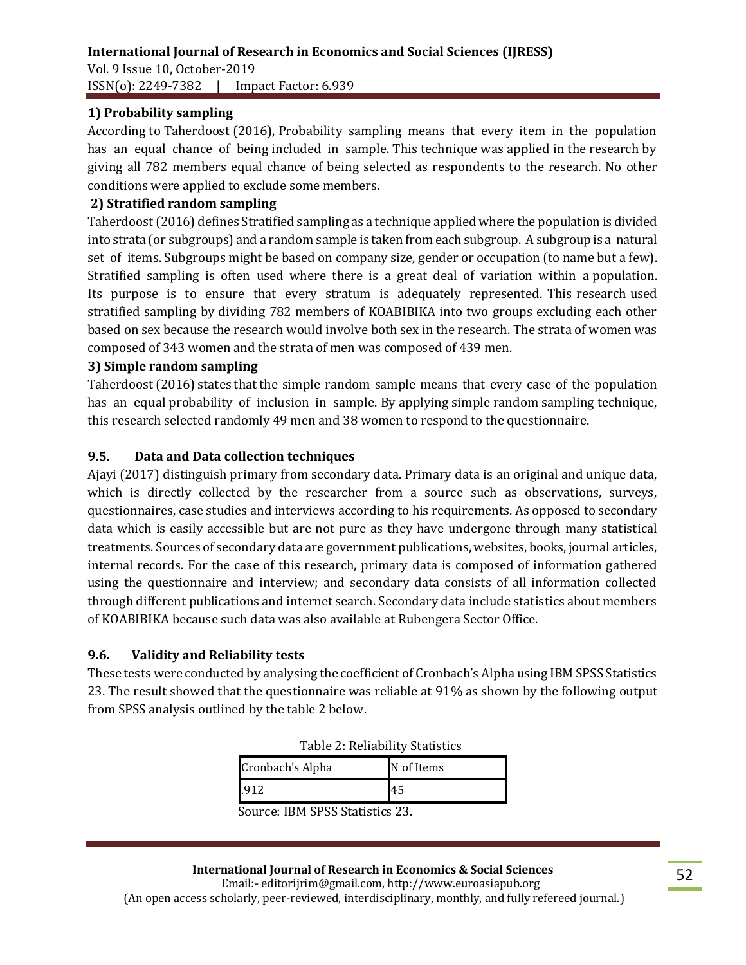### **1) Probability sampling**

According to Taherdoost (2016), Probability sampling means that every item in the population has an equal chance of being included in sample. This technique was applied in the research by giving all 782 members equal chance of being selected as respondents to the research. No other conditions were applied to exclude some members.

### **2) Stratified random sampling**

Taherdoost (2016) defines Stratified sampling as a technique applied where the population is divided into strata (or subgroups) and a random sample is taken from each subgroup. A subgroup is a natural set of items. Subgroups might be based on company size, gender or occupation (to name but a few). Stratified sampling is often used where there is a great deal of variation within a population. Its purpose is to ensure that every stratum is adequately represented. This research used stratified sampling by dividing 782 members of KOABIBIKA into two groups excluding each other based on sex because the research would involve both sex in the research. The strata of women was composed of 343 women and the strata of men was composed of 439 men.

#### **3) Simple random sampling**

Taherdoost (2016) states that the simple random sample means that every case of the population has an equal probability of inclusion in sample. By applying simple random sampling technique, this research selected randomly 49 men and 38 women to respond to the questionnaire.

### **9.5. Data and Data collection techniques**

Ajayi (2017) distinguish primary from secondary data. Primary data is an original and unique data, which is directly collected by the researcher from a source such as observations, surveys, questionnaires, case studies and interviews according to his requirements. As opposed to secondary data which is easily accessible but are not pure as they have undergone through many statistical treatments. Sources of secondary data are government publications, websites, books, journal articles, internal records. For the case of this research, primary data is composed of information gathered using the questionnaire and interview; and secondary data consists of all information collected through different publications and internet search. Secondary data include statistics about members of KOABIBIKA because such data was also available at Rubengera Sector Office.

#### **9.6. Validity and Reliability tests**

These tests were conducted by analysing the coefficient of Cronbach's Alpha using IBM SPSS Statistics 23. The result showed that the questionnaire was reliable at 91% as shown by the following output from SPSS analysis outlined by the table 2 below.

| rapic <b>E</b> , remability blatibility |            |  |  |  |  |  |
|-----------------------------------------|------------|--|--|--|--|--|
| Cronbach's Alpha                        | N of Items |  |  |  |  |  |
|                                         | 45         |  |  |  |  |  |

Source: IBM SPSS Statistics 23.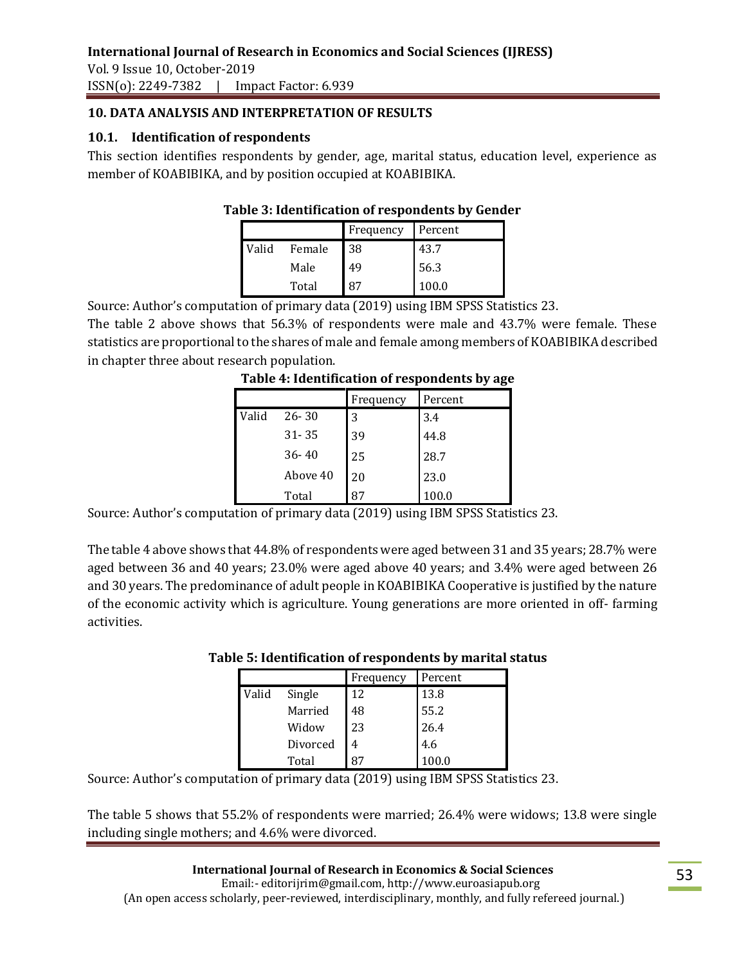Vol. 9 Issue 10, October-2019 ISSN(o): 2249-7382 | Impact Factor: 6.939

### **10. DATA ANALYSIS AND INTERPRETATION OF RESULTS**

### **10.1. Identification of respondents**

This section identifies respondents by gender, age, marital status, education level, experience as member of KOABIBIKA, and by position occupied at KOABIBIKA.

### **Table 3: Identification of respondents by Gender**

|       |        | Frequency | Percent |
|-------|--------|-----------|---------|
| Valid | Female | 38        | 43.7    |
|       | Male   | 49        | 56.3    |
|       | Total  | 87        | 100.0   |

Source: Author's computation of primary data (2019) using IBM SPSS Statistics 23.

The table 2 above shows that 56.3% of respondents were male and 43.7% were female. These statistics are proportional to the shares of male and female among members of KOABIBIKA described in chapter three about research population.

|       |           | Frequency | Percent |
|-------|-----------|-----------|---------|
| Valid | $26 - 30$ | 3         | 3.4     |
|       | $31 - 35$ | 39        | 44.8    |
|       | $36 - 40$ | 25        | 28.7    |
|       | Above 40  | 20        | 23.0    |
|       | Total     | 87        | 100.0   |

#### **Table 4: Identification of respondents by age**

Source: Author's computation of primary data (2019) using IBM SPSS Statistics 23.

The table 4 above shows that 44.8% of respondents were aged between 31 and 35 years; 28.7% were aged between 36 and 40 years; 23.0% were aged above 40 years; and 3.4% were aged between 26 and 30 years. The predominance of adult people in KOABIBIKA Cooperative is justified by the nature of the economic activity which is agriculture. Young generations are more oriented in off- farming activities.

|       |          | Frequency | Percent |
|-------|----------|-----------|---------|
| Valid | Single   | 12        | 13.8    |
|       | Married  | 48        | 55.2    |
|       | Widow    | 23        | 26.4    |
|       | Divorced |           | 4.6     |
|       | Total    |           | 100.0   |

#### **Table 5: Identification of respondents by marital status**

Source: Author's computation of primary data (2019) using IBM SPSS Statistics 23.

The table 5 shows that 55.2% of respondents were married; 26.4% were widows; 13.8 were single including single mothers; and 4.6% were divorced.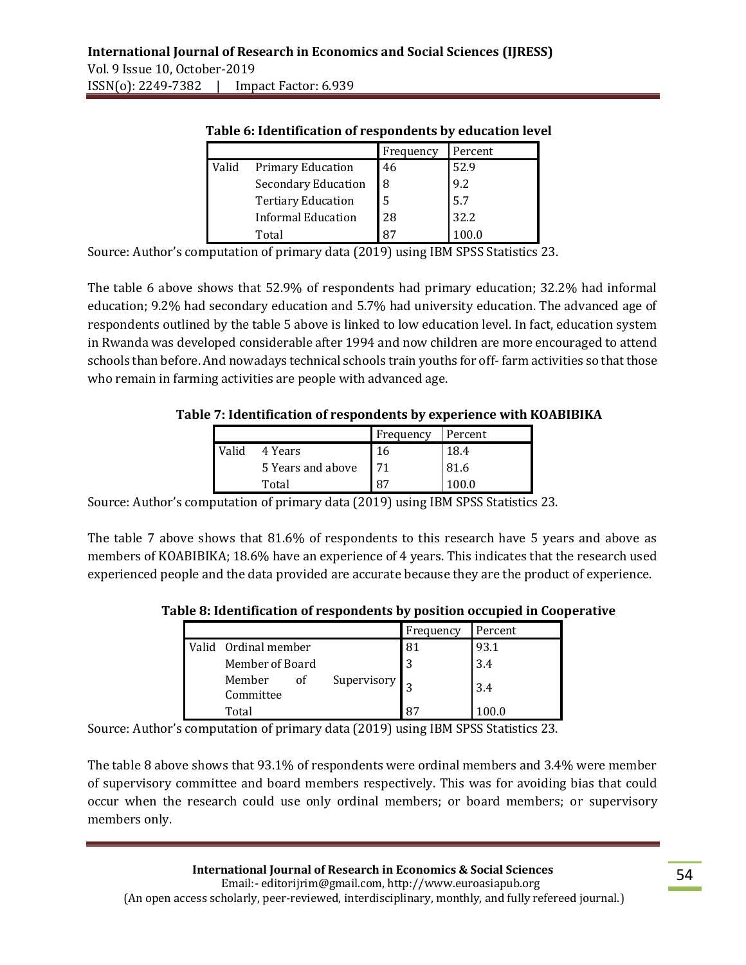|       |                            | Frequency | Percent |
|-------|----------------------------|-----------|---------|
| Valid | <b>Primary Education</b>   | 46        | 52.9    |
|       | <b>Secondary Education</b> | 8         | 9.2     |
|       | <b>Tertiary Education</b>  | .5        | 5.7     |
|       | Informal Education         | 28        | 32.2    |
|       | Total                      | $R^7$     |         |

#### **Table 6: Identification of respondents by education level**

Source: Author's computation of primary data (2019) using IBM SPSS Statistics 23.

The table 6 above shows that 52.9% of respondents had primary education; 32.2% had informal education; 9.2% had secondary education and 5.7% had university education. The advanced age of respondents outlined by the table 5 above is linked to low education level. In fact, education system in Rwanda was developed considerable after 1994 and now children are more encouraged to attend schools than before. And nowadays technical schools train youths for off- farm activities so that those who remain in farming activities are people with advanced age.

### **Table 7: Identification of respondents by experience with KOABIBIKA**

|       |                   | Frequency | Percent |
|-------|-------------------|-----------|---------|
| Valid | 4 Years           | 16        | 18.4    |
|       | 5 Years and above | 71        | 81.6    |
|       | Total             | 87        | 100.0   |

Source: Author's computation of primary data (2019) using IBM SPSS Statistics 23.

The table 7 above shows that 81.6% of respondents to this research have 5 years and above as members of KOABIBIKA; 18.6% have an experience of 4 years. This indicates that the research used experienced people and the data provided are accurate because they are the product of experience.

 **Table 8: Identification of respondents by position occupied in Cooperative**

|                           |             | Frequency      | Percent |
|---------------------------|-------------|----------------|---------|
| Valid Ordinal member      |             | 81             | 93.1    |
| Member of Board           |             | 3              | 3.4     |
| Member<br>οf<br>Committee | Supervisory |                | 3.4     |
| Total                     |             | R <sub>7</sub> |         |

Source: Author's computation of primary data (2019) using IBM SPSS Statistics 23.

The table 8 above shows that 93.1% of respondents were ordinal members and 3.4% were member of supervisory committee and board members respectively. This was for avoiding bias that could occur when the research could use only ordinal members; or board members; or supervisory members only.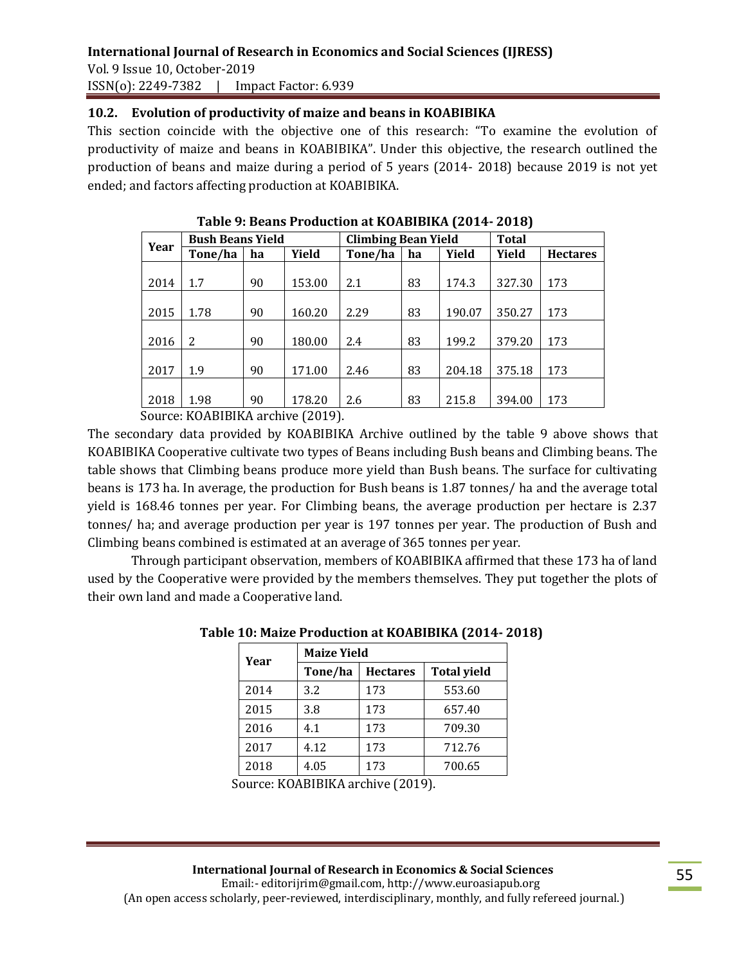Vol. 9 Issue 10, October-2019 ISSN(o): 2249-7382 | Impact Factor: 6.939

### **10.2. Evolution of productivity of maize and beans in KOABIBIKA**

This section coincide with the objective one of this research: "To examine the evolution of productivity of maize and beans in KOABIBIKA". Under this objective, the research outlined the production of beans and maize during a period of 5 years (2014- 2018) because 2019 is not yet ended; and factors affecting production at KOABIBIKA.

| Year                     | <b>Bush Beans Yield</b>                                |              |                      | <b>Climbing Bean Yield</b> |    | <b>Total</b> |        |                 |
|--------------------------|--------------------------------------------------------|--------------|----------------------|----------------------------|----|--------------|--------|-----------------|
|                          | Tone/ha                                                | ha           | Yield                | Tone/ha                    | ha | Yield        | Yield  | <b>Hectares</b> |
|                          |                                                        |              |                      |                            |    |              |        |                 |
| 2014                     | 1.7                                                    | 90           | 153.00               | 2.1                        | 83 | 174.3        | 327.30 | 173             |
|                          |                                                        |              |                      |                            |    |              |        |                 |
| 2015                     | 1.78                                                   | 90           | 160.20               | 2.29                       | 83 | 190.07       | 350.27 | 173             |
|                          |                                                        |              |                      |                            |    |              |        |                 |
| 2016                     | 2                                                      | 90           | 180.00               | 2.4                        | 83 | 199.2        | 379.20 | 173             |
|                          |                                                        |              |                      |                            |    |              |        |                 |
| 2017                     | 1.9                                                    | 90           | 171.00               | 2.46                       | 83 | 204.18       | 375.18 | 173             |
|                          |                                                        |              |                      |                            |    |              |        |                 |
| 2018                     | 1.98                                                   | 90           | 178.20               | 2.6                        | 83 | 215.8        | 394.00 | 173             |
| $\overline{\phantom{0}}$ | $\mathbf{r} \cdot \mathbf{r}$ . The state $\mathbf{r}$ | $\mathbf{v}$ | $\sim$ $\sim$ $\sim$ |                            |    |              |        |                 |

**Table 9: Beans Production at KOABIBIKA (2014- 2018)**

Source: KOABIBIKA archive (2019).

The secondary data provided by KOABIBIKA Archive outlined by the table 9 above shows that KOABIBIKA Cooperative cultivate two types of Beans including Bush beans and Climbing beans. The table shows that Climbing beans produce more yield than Bush beans. The surface for cultivating beans is 173 ha. In average, the production for Bush beans is 1.87 tonnes/ ha and the average total yield is 168.46 tonnes per year. For Climbing beans, the average production per hectare is 2.37 tonnes/ ha; and average production per year is 197 tonnes per year. The production of Bush and Climbing beans combined is estimated at an average of 365 tonnes per year.

Through participant observation, members of KOABIBIKA affirmed that these 173 ha of land used by the Cooperative were provided by the members themselves. They put together the plots of their own land and made a Cooperative land.

| Year | <b>Maize Yield</b> |                 |                    |  |  |  |
|------|--------------------|-----------------|--------------------|--|--|--|
|      | Tone/ha            | <b>Hectares</b> | <b>Total yield</b> |  |  |  |
| 2014 | 3.2                | 173             | 553.60             |  |  |  |
| 2015 | 3.8                | 173             | 657.40             |  |  |  |
| 2016 | 4.1                | 173             | 709.30             |  |  |  |
| 2017 | 4.12               | 173             | 712.76             |  |  |  |
| 2018 | 4.05               | 173             | 700.65             |  |  |  |

#### **Table 10: Maize Production at KOABIBIKA (2014- 2018)**

Source: KOABIBIKA archive (2019).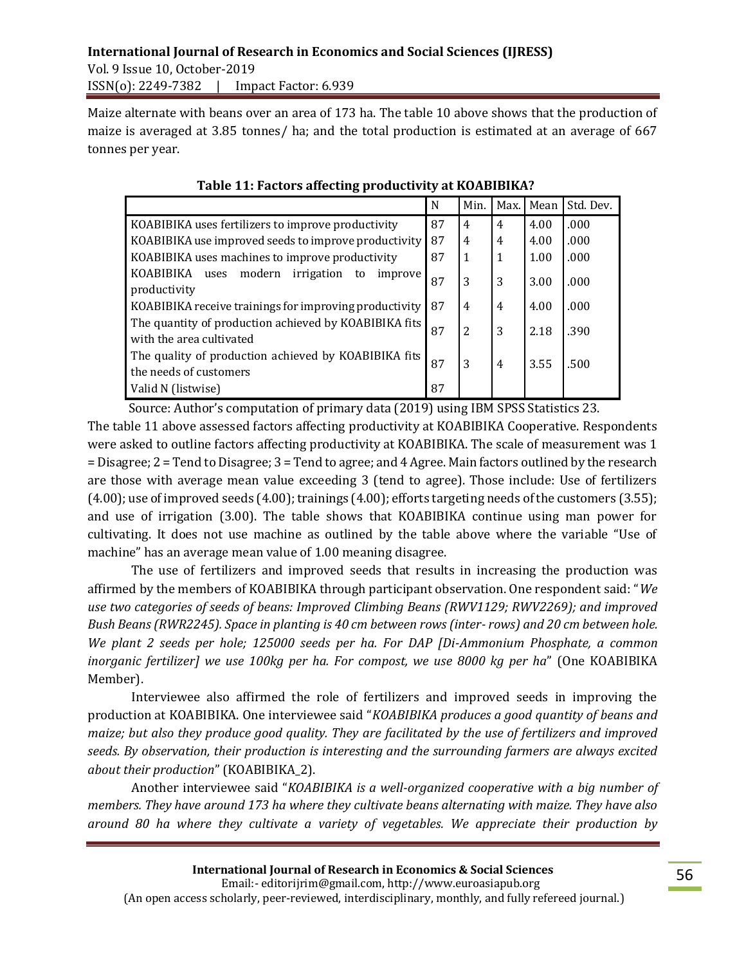Maize alternate with beans over an area of 173 ha. The table 10 above shows that the production of maize is averaged at 3.85 tonnes/ ha; and the total production is estimated at an average of 667 tonnes per year.

|                                                                                   | N  | Min.           | Max.           | Mean | Std. Dev. |
|-----------------------------------------------------------------------------------|----|----------------|----------------|------|-----------|
| KOABIBIKA uses fertilizers to improve productivity                                | 87 | $\overline{4}$ | $\overline{4}$ | 4.00 | .000      |
| KOABIBIKA use improved seeds to improve productivity                              | 87 | 4              | 4              | 4.00 | .000      |
| KOABIBIKA uses machines to improve productivity                                   | 87 | 1              | 1              | 1.00 | .000      |
| KOABIBIKA<br>modern<br>irrigation<br>to<br>improve<br>uses<br>productivity        | 87 | 3              | 3              | 3.00 | .000      |
| KOABIBIKA receive trainings for improving productivity                            | 87 | $\overline{4}$ | 4              | 4.00 | .000      |
| The quantity of production achieved by KOABIBIKA fits<br>with the area cultivated | 87 | 2              | 3              | 2.18 | .390      |
| The quality of production achieved by KOABIBIKA fits<br>the needs of customers    | 87 | 3              | 4              | 3.55 | .500      |
| Valid N (listwise)                                                                | 87 |                |                |      |           |

 **Table 11: Factors affecting productivity at KOABIBIKA?**

 Source: Author's computation of primary data (2019) using IBM SPSS Statistics 23. The table 11 above assessed factors affecting productivity at KOABIBIKA Cooperative. Respondents were asked to outline factors affecting productivity at KOABIBIKA. The scale of measurement was 1 = Disagree; 2 = Tend to Disagree; 3 = Tend to agree; and 4 Agree. Main factors outlined by the research are those with average mean value exceeding 3 (tend to agree). Those include: Use of fertilizers (4.00); use of improved seeds (4.00); trainings (4.00); efforts targeting needs of the customers (3.55); and use of irrigation (3.00). The table shows that KOABIBIKA continue using man power for cultivating. It does not use machine as outlined by the table above where the variable "Use of machine" has an average mean value of 1.00 meaning disagree.

The use of fertilizers and improved seeds that results in increasing the production was affirmed by the members of KOABIBIKA through participant observation. One respondent said: "*We use two categories of seeds of beans: Improved Climbing Beans (RWV1129; RWV2269); and improved Bush Beans (RWR2245). Space in planting is 40 cm between rows (inter- rows) and 20 cm between hole. We plant 2 seeds per hole; 125000 seeds per ha. For DAP [Di-Ammonium Phosphate, a common inorganic fertilizer] we use 100kg per ha. For compost, we use 8000 kg per ha*" (One KOABIBIKA Member).

Interviewee also affirmed the role of fertilizers and improved seeds in improving the production at KOABIBIKA. One interviewee said "*KOABIBIKA produces a good quantity of beans and maize; but also they produce good quality. They are facilitated by the use of fertilizers and improved seeds. By observation, their production is interesting and the surrounding farmers are always excited about their production*" (KOABIBIKA\_2).

Another interviewee said "*KOABIBIKA is a well-organized cooperative with a big number of members. They have around 173 ha where they cultivate beans alternating with maize. They have also around 80 ha where they cultivate a variety of vegetables. We appreciate their production by*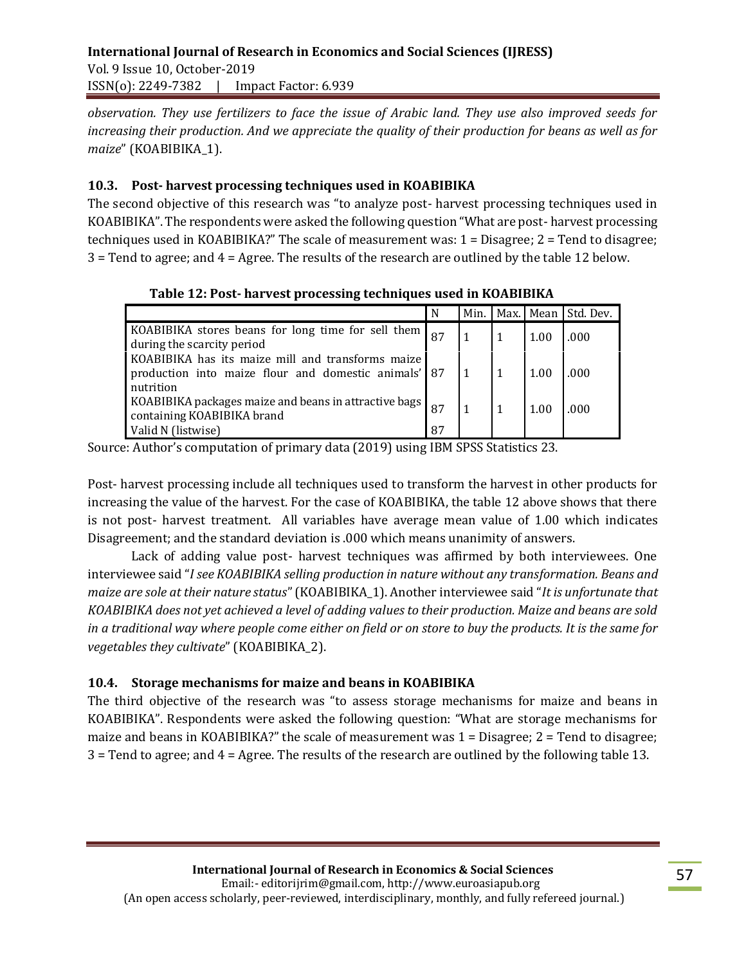*observation. They use fertilizers to face the issue of Arabic land. They use also improved seeds for increasing their production. And we appreciate the quality of their production for beans as well as for maize*" (KOABIBIKA\_1).

### **10.3. Post- harvest processing techniques used in KOABIBIKA**

The second objective of this research was "to analyze post- harvest processing techniques used in KOABIBIKA". The respondents were asked the following question "What are post- harvest processing techniques used in KOABIBIKA?" The scale of measurement was: 1 = Disagree; 2 = Tend to disagree; 3 = Tend to agree; and 4 = Agree. The results of the research are outlined by the table 12 below.

|                                                                                                                        | N | Min. |      | Max. Mean Std. Dev. |
|------------------------------------------------------------------------------------------------------------------------|---|------|------|---------------------|
| KOABIBIKA stores beans for long time for sell them $_{87}$<br>during the scarcity period                               |   |      | 1.00 | .000                |
| KOABIBIKA has its maize mill and transforms maize<br>production into maize flour and domestic animals' 87<br>nutrition |   |      | 1.00 | .000                |
| $\frac{1}{2}$ KOABIBIKA packages maize and beans in attractive bags $\frac{1}{87}$<br>containing KOABIBIKA brand       |   |      | 1.00 | .000                |
| Valid N (listwise)                                                                                                     |   |      |      |                     |

**Table 12: Post- harvest processing techniques used in KOABIBIKA**

Source: Author's computation of primary data (2019) using IBM SPSS Statistics 23.

Post- harvest processing include all techniques used to transform the harvest in other products for increasing the value of the harvest. For the case of KOABIBIKA, the table 12 above shows that there is not post- harvest treatment. All variables have average mean value of 1.00 which indicates Disagreement; and the standard deviation is .000 which means unanimity of answers.

Lack of adding value post- harvest techniques was affirmed by both interviewees. One interviewee said "*I see KOABIBIKA selling production in nature without any transformation. Beans and maize are sole at their nature status*" (KOABIBIKA\_1). Another interviewee said "*It is unfortunate that KOABIBIKA does not yet achieved a level of adding values to their production. Maize and beans are sold in a traditional way where people come either on field or on store to buy the products. It is the same for vegetables they cultivate*" (KOABIBIKA\_2).

#### **10.4. Storage mechanisms for maize and beans in KOABIBIKA**

The third objective of the research was "to assess storage mechanisms for maize and beans in KOABIBIKA". Respondents were asked the following question: "What are storage mechanisms for maize and beans in KOABIBIKA?" the scale of measurement was 1 = Disagree; 2 = Tend to disagree; 3 = Tend to agree; and 4 = Agree. The results of the research are outlined by the following table 13.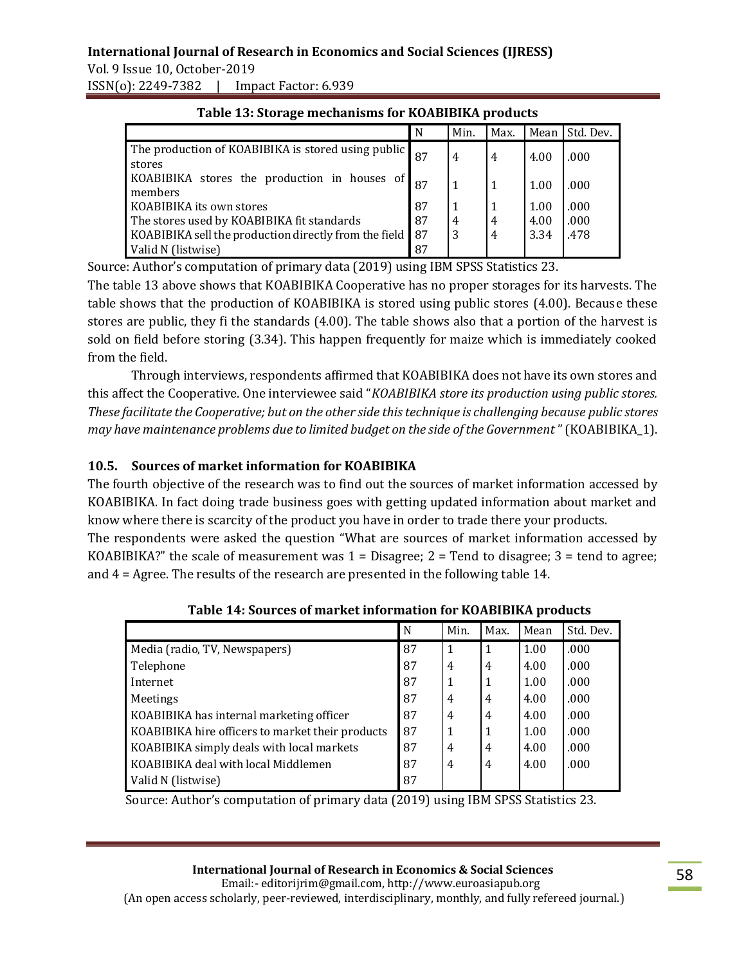Vol. 9 Issue 10, October-2019 ISSN(o): 2249-7382 | Impact Factor: 6.939

| Table 19. Storage incentanisms for Kondibility prottacts     |     |      |                |      |           |  |  |
|--------------------------------------------------------------|-----|------|----------------|------|-----------|--|--|
|                                                              | N   | Min. | Max.           | Mean | Std. Dev. |  |  |
| The production of KOABIBIKA is stored using public<br>stores |     | 4    | 4              | 4.00 | .000      |  |  |
| KOABIBIKA stores the production in houses of<br>members      |     | 1    | 1              | 1.00 | .000      |  |  |
| KOABIBIKA its own stores                                     | 87  |      |                | 1.00 | .000      |  |  |
| The stores used by KOABIBIKA fit standards                   | -87 | 4    |                | 4.00 | .000      |  |  |
| KOABIBIKA sell the production directly from the field   87   |     | 3    | $\overline{4}$ | 3.34 | .478      |  |  |
| Valid N (listwise)                                           | 87  |      |                |      |           |  |  |

 **Table 13: Storage mechanisms for KOABIBIKA products**

Source: Author's computation of primary data (2019) using IBM SPSS Statistics 23.

The table 13 above shows that KOABIBIKA Cooperative has no proper storages for its harvests. The table shows that the production of KOABIBIKA is stored using public stores (4.00). Because these stores are public, they fi the standards (4.00). The table shows also that a portion of the harvest is sold on field before storing (3.34). This happen frequently for maize which is immediately cooked from the field.

Through interviews, respondents affirmed that KOABIBIKA does not have its own stores and this affect the Cooperative. One interviewee said "*KOABIBIKA store its production using public stores. These facilitate the Cooperative; but on the other side this technique is challenging because public stores may have maintenance problems due to limited budget on the side of the Government* " (KOABIBIKA\_1).

# **10.5. Sources of market information for KOABIBIKA**

The fourth objective of the research was to find out the sources of market information accessed by KOABIBIKA. In fact doing trade business goes with getting updated information about market and know where there is scarcity of the product you have in order to trade there your products.

The respondents were asked the question "What are sources of market information accessed by KOABIBIKA?" the scale of measurement was  $1 =$  Disagree;  $2 =$  Tend to disagree;  $3 =$  tend to agree; and 4 = Agree. The results of the research are presented in the following table 14.

|                                                  | N  | Min. | Max.           | Mean | Std. Dev. |
|--------------------------------------------------|----|------|----------------|------|-----------|
| Media (radio, TV, Newspapers)                    | 87 |      | 1              | 1.00 | .000      |
| Telephone                                        | 87 | 4    | $\overline{4}$ | 4.00 | .000      |
| Internet                                         | 87 | 1    | 1              | 1.00 | .000      |
| <b>Meetings</b>                                  | 87 | 4    | $\overline{4}$ | 4.00 | .000      |
| KOABIBIKA has internal marketing officer         | 87 | 4    | 4              | 4.00 | .000      |
| KOABIBIKA hire officers to market their products | 87 | 1    | 1              | 1.00 | .000      |
| KOABIBIKA simply deals with local markets        | 87 | 4    | $\overline{4}$ | 4.00 | .000      |
| KOABIBIKA deal with local Middlemen              | 87 | 4    | 4              | 4.00 | .000      |
| Valid N (listwise)                               | 87 |      |                |      |           |

 **Table 14: Sources of market information for KOABIBIKA products**

Source: Author's computation of primary data (2019) using IBM SPSS Statistics 23.

#### **International Journal of Research in Economics & Social Sciences**

 Email:- editorijrim@gmail.com, http://www.euroasiapub.org (An open access scholarly, peer-reviewed, interdisciplinary, monthly, and fully refereed journal.)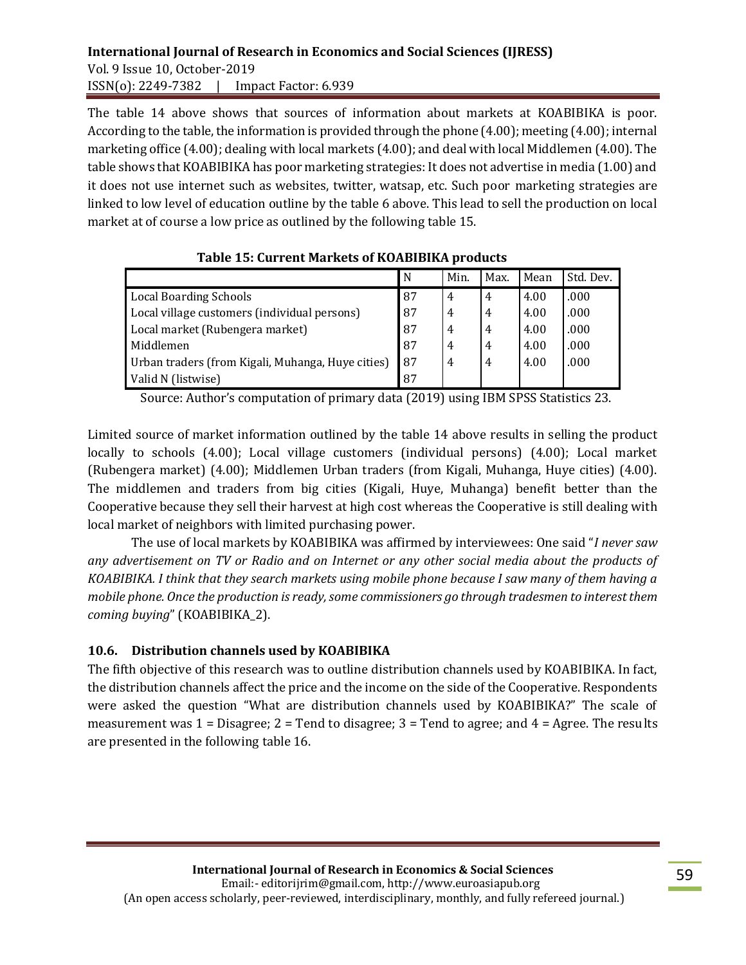### **International Journal of Research in Economics and Social Sciences (IJRESS)**  Vol. 9 Issue 10, October-2019 ISSN(o): 2249-7382 | Impact Factor: 6.939

The table 14 above shows that sources of information about markets at KOABIBIKA is poor. According to the table, the information is provided through the phone (4.00); meeting (4.00); internal marketing office (4.00); dealing with local markets (4.00); and deal with local Middlemen (4.00). The table shows that KOABIBIKA has poor marketing strategies: It does not advertise in media (1.00) and it does not use internet such as websites, twitter, watsap, etc. Such poor marketing strategies are linked to low level of education outline by the table 6 above. This lead to sell the production on local market at of course a low price as outlined by the following table 15.

|                                                   | N  | Min. | Max.           | Mean | Std. Dev. |
|---------------------------------------------------|----|------|----------------|------|-----------|
| <b>Local Boarding Schools</b>                     | 87 | 4    | $\overline{4}$ | 4.00 | .000      |
| Local village customers (individual persons)      | 87 | 4    | 4              | 4.00 | .000      |
| Local market (Rubengera market)                   | 87 | 4    | 4              | 4.00 | .000      |
| Middlemen                                         | 87 | 4    | 4              | 4.00 | .000      |
| Urban traders (from Kigali, Muhanga, Huye cities) | 87 | 4    | 4              | 4.00 | .000      |
| Valid N (listwise)                                | 87 |      |                |      |           |

 **Table 15: Current Markets of KOABIBIKA products**

Source: Author's computation of primary data (2019) using IBM SPSS Statistics 23.

Limited source of market information outlined by the table 14 above results in selling the product locally to schools (4.00); Local village customers (individual persons) (4.00); Local market (Rubengera market) (4.00); Middlemen Urban traders (from Kigali, Muhanga, Huye cities) (4.00). The middlemen and traders from big cities (Kigali, Huye, Muhanga) benefit better than the Cooperative because they sell their harvest at high cost whereas the Cooperative is still dealing with local market of neighbors with limited purchasing power.

The use of local markets by KOABIBIKA was affirmed by interviewees: One said "*I never saw any advertisement on TV or Radio and on Internet or any other social media about the products of KOABIBIKA. I think that they search markets using mobile phone because I saw many of them having a mobile phone. Once the production is ready, some commissioners go through tradesmen to interest them coming buying*" (KOABIBIKA\_2).

### **10.6. Distribution channels used by KOABIBIKA**

The fifth objective of this research was to outline distribution channels used by KOABIBIKA. In fact, the distribution channels affect the price and the income on the side of the Cooperative. Respondents were asked the question "What are distribution channels used by KOABIBIKA?" The scale of measurement was  $1 = Disagree$ ;  $2 = Tend$  to disagree;  $3 = Tend$  to agree; and  $4 = Agree$ . The results are presented in the following table 16.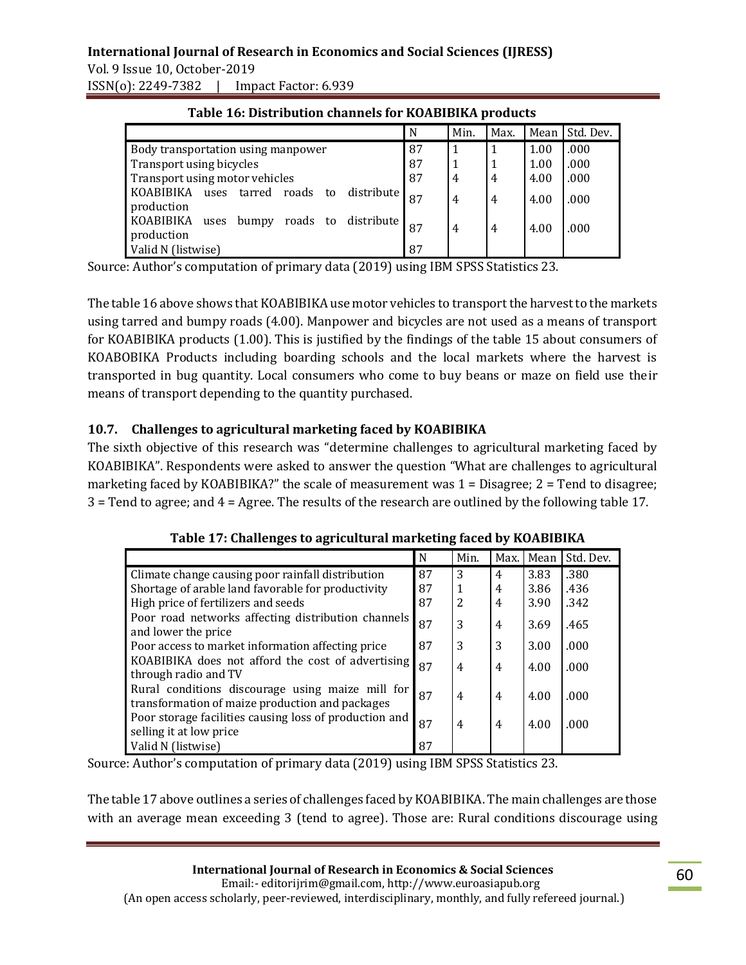Vol. 9 Issue 10, October-2019 ISSN(o): 2249-7382 | Impact Factor: 6.939

|                                                                        | N  | Min.           | Max.           | Mean | Std. Dev. |
|------------------------------------------------------------------------|----|----------------|----------------|------|-----------|
| Body transportation using manpower                                     | 87 | -1             |                | 1.00 | .000      |
| Transport using bicycles                                               | 87 | 1              |                | 1.00 | .000      |
| Transport using motor vehicles                                         | 87 | $\overline{4}$ | $\overline{4}$ | 4.00 | .000      |
| KOABIBIKA<br>tarred<br>roads<br>distribute<br>uses<br>to<br>production | 87 | $\overline{4}$ | 4              | 4.00 | .000      |
| KOABIBIKA<br>roads to<br>distribute<br>bumpy<br>uses<br>production     | 87 | $\overline{4}$ | 4              | 4.00 | .000      |
| Valid N (listwise)                                                     | 87 |                |                |      |           |

#### **Table 16: Distribution channels for KOABIBIKA products**

Source: Author's computation of primary data (2019) using IBM SPSS Statistics 23.

The table 16 above shows that KOABIBIKA use motor vehicles to transport the harvest to the markets using tarred and bumpy roads (4.00). Manpower and bicycles are not used as a means of transport for KOABIBIKA products (1.00). This is justified by the findings of the table 15 about consumers of KOABOBIKA Products including boarding schools and the local markets where the harvest is transported in bug quantity. Local consumers who come to buy beans or maze on field use their means of transport depending to the quantity purchased.

### **10.7. Challenges to agricultural marketing faced by KOABIBIKA**

The sixth objective of this research was "determine challenges to agricultural marketing faced by KOABIBIKA". Respondents were asked to answer the question "What are challenges to agricultural marketing faced by KOABIBIKA?" the scale of measurement was 1 = Disagree; 2 = Tend to disagree; 3 = Tend to agree; and 4 = Agree. The results of the research are outlined by the following table 17.

| rapiv 171 chanchges to agricultural mariteting iacea by horibibiliti                                |    |                |                |      |           |  |  |
|-----------------------------------------------------------------------------------------------------|----|----------------|----------------|------|-----------|--|--|
|                                                                                                     | N  | Min.           | Max.           | Mean | Std. Dev. |  |  |
| Climate change causing poor rainfall distribution                                                   | 87 | 3              | 4              | 3.83 | .380      |  |  |
| Shortage of arable land favorable for productivity                                                  | 87 | 1              | 4              | 3.86 | .436      |  |  |
| High price of fertilizers and seeds                                                                 | 87 | $\overline{2}$ | $\overline{4}$ | 3.90 | .342      |  |  |
| Poor road networks affecting distribution channels<br>and lower the price                           | 87 | 3              | 4              | 3.69 | .465      |  |  |
| Poor access to market information affecting price                                                   | 87 | 3              | 3              | 3.00 | .000      |  |  |
| KOABIBIKA does not afford the cost of advertising<br>through radio and TV                           | 87 | $\overline{4}$ | 4              | 4.00 | .000      |  |  |
| Rural conditions discourage using maize mill for<br>transformation of maize production and packages | 87 | $\overline{4}$ | 4              | 4.00 | .000      |  |  |
| Poor storage facilities causing loss of production and<br>selling it at low price                   | 87 | $\overline{4}$ | 4              | 4.00 | .000      |  |  |
| Valid N (listwise)                                                                                  | 87 |                |                |      |           |  |  |

| Table 17: Challenges to agricultural marketing faced by KOABIBIKA |  |
|-------------------------------------------------------------------|--|
|                                                                   |  |

Source: Author's computation of primary data (2019) using IBM SPSS Statistics 23.

The table 17 above outlines a series of challenges faced by KOABIBIKA. The main challenges are those with an average mean exceeding 3 (tend to agree). Those are: Rural conditions discourage using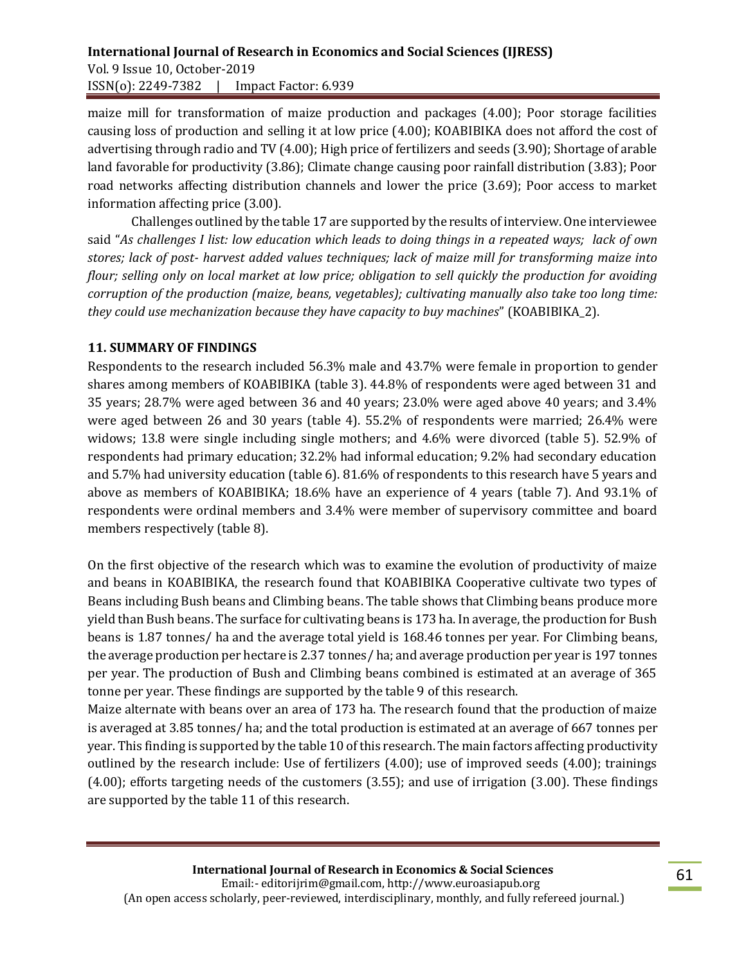maize mill for transformation of maize production and packages (4.00); Poor storage facilities causing loss of production and selling it at low price (4.00); KOABIBIKA does not afford the cost of advertising through radio and TV (4.00); High price of fertilizers and seeds (3.90); Shortage of arable land favorable for productivity (3.86); Climate change causing poor rainfall distribution (3.83); Poor road networks affecting distribution channels and lower the price (3.69); Poor access to market information affecting price (3.00).

Challenges outlined by the table 17 are supported by the results of interview. One interviewee said "*As challenges I list: low education which leads to doing things in a repeated ways; lack of own stores; lack of post- harvest added values techniques; lack of maize mill for transforming maize into flour; selling only on local market at low price; obligation to sell quickly the production for avoiding corruption of the production (maize, beans, vegetables); cultivating manually also take too long time: they could use mechanization because they have capacity to buy machines*" (KOABIBIKA\_2).

### **11. SUMMARY OF FINDINGS**

Respondents to the research included 56.3% male and 43.7% were female in proportion to gender shares among members of KOABIBIKA (table 3). 44.8% of respondents were aged between 31 and 35 years; 28.7% were aged between 36 and 40 years; 23.0% were aged above 40 years; and 3.4% were aged between 26 and 30 years (table 4). 55.2% of respondents were married; 26.4% were widows; 13.8 were single including single mothers; and 4.6% were divorced (table 5). 52.9% of respondents had primary education; 32.2% had informal education; 9.2% had secondary education and 5.7% had university education (table 6). 81.6% of respondents to this research have 5 years and above as members of KOABIBIKA; 18.6% have an experience of 4 years (table 7). And 93.1% of respondents were ordinal members and 3.4% were member of supervisory committee and board members respectively (table 8).

On the first objective of the research which was to examine the evolution of productivity of maize and beans in KOABIBIKA, the research found that KOABIBIKA Cooperative cultivate two types of Beans including Bush beans and Climbing beans. The table shows that Climbing beans produce more yield than Bush beans. The surface for cultivating beans is 173 ha. In average, the production for Bush beans is 1.87 tonnes/ ha and the average total yield is 168.46 tonnes per year. For Climbing beans, the average production per hectare is 2.37 tonnes/ ha; and average production per year is 197 tonnes per year. The production of Bush and Climbing beans combined is estimated at an average of 365 tonne per year. These findings are supported by the table 9 of this research.

Maize alternate with beans over an area of 173 ha. The research found that the production of maize is averaged at 3.85 tonnes/ ha; and the total production is estimated at an average of 667 tonnes per year. This finding is supported by the table 10 of this research. The main factors affecting productivity outlined by the research include: Use of fertilizers (4.00); use of improved seeds (4.00); trainings (4.00); efforts targeting needs of the customers (3.55); and use of irrigation (3.00). These findings are supported by the table 11 of this research.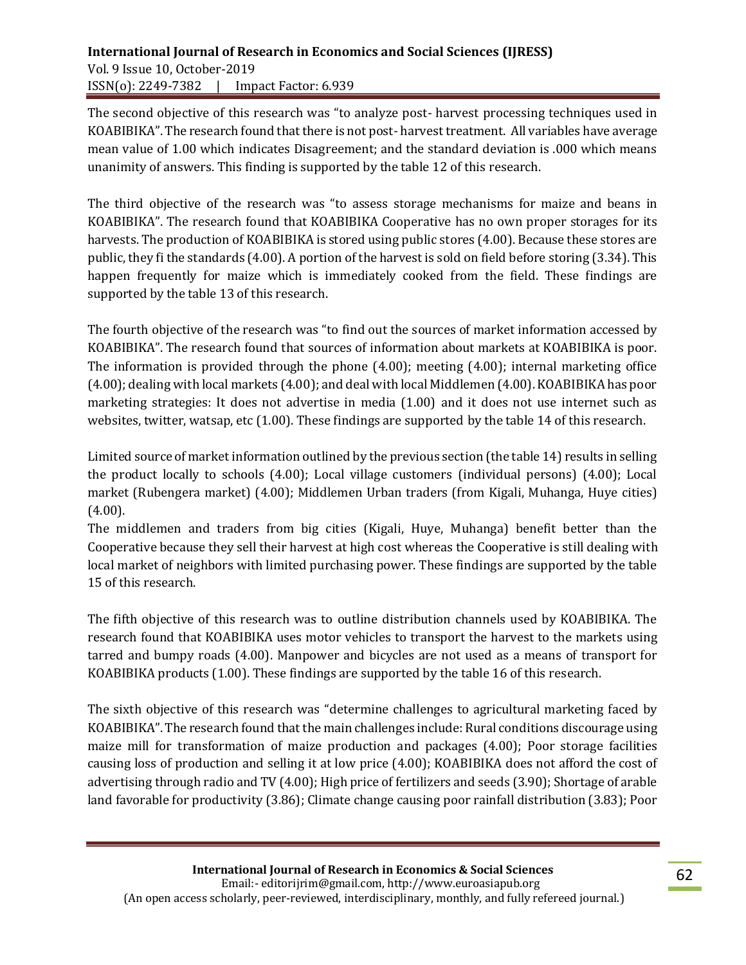### **International Journal of Research in Economics and Social Sciences (IJRESS)**  Vol. 9 Issue 10, October-2019 ISSN(o): 2249-7382 | Impact Factor: 6.939

The second objective of this research was "to analyze post- harvest processing techniques used in KOABIBIKA". The research found that there is not post- harvest treatment. All variables have average mean value of 1.00 which indicates Disagreement; and the standard deviation is .000 which means unanimity of answers. This finding is supported by the table 12 of this research.

The third objective of the research was "to assess storage mechanisms for maize and beans in KOABIBIKA". The research found that KOABIBIKA Cooperative has no own proper storages for its harvests. The production of KOABIBIKA is stored using public stores (4.00). Because these stores are public, they fi the standards (4.00). A portion of the harvest is sold on field before storing (3.34). This happen frequently for maize which is immediately cooked from the field. These findings are supported by the table 13 of this research.

The fourth objective of the research was "to find out the sources of market information accessed by KOABIBIKA". The research found that sources of information about markets at KOABIBIKA is poor. The information is provided through the phone (4.00); meeting (4.00); internal marketing office (4.00); dealing with local markets (4.00); and deal with local Middlemen (4.00). KOABIBIKA has poor marketing strategies: It does not advertise in media (1.00) and it does not use internet such as websites, twitter, watsap, etc (1.00). These findings are supported by the table 14 of this research.

Limited source of market information outlined by the previous section (the table 14) results in selling the product locally to schools (4.00); Local village customers (individual persons) (4.00); Local market (Rubengera market) (4.00); Middlemen Urban traders (from Kigali, Muhanga, Huye cities)  $(4.00)$ .

The middlemen and traders from big cities (Kigali, Huye, Muhanga) benefit better than the Cooperative because they sell their harvest at high cost whereas the Cooperative is still dealing with local market of neighbors with limited purchasing power. These findings are supported by the table 15 of this research.

The fifth objective of this research was to outline distribution channels used by KOABIBIKA. The research found that KOABIBIKA uses motor vehicles to transport the harvest to the markets using tarred and bumpy roads (4.00). Manpower and bicycles are not used as a means of transport for KOABIBIKA products (1.00). These findings are supported by the table 16 of this research.

The sixth objective of this research was "determine challenges to agricultural marketing faced by KOABIBIKA". The research found that the main challenges include: Rural conditions discourage using maize mill for transformation of maize production and packages (4.00); Poor storage facilities causing loss of production and selling it at low price (4.00); KOABIBIKA does not afford the cost of advertising through radio and TV (4.00); High price of fertilizers and seeds (3.90); Shortage of arable land favorable for productivity (3.86); Climate change causing poor rainfall distribution (3.83); Poor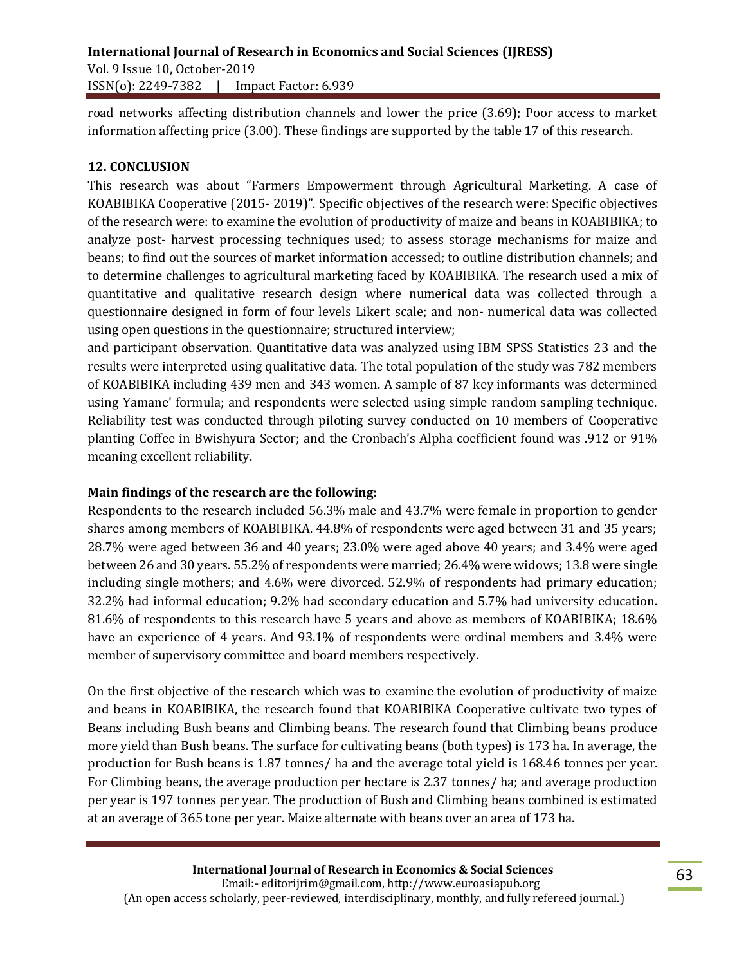road networks affecting distribution channels and lower the price (3.69); Poor access to market information affecting price (3.00). These findings are supported by the table 17 of this research.

### **12. CONCLUSION**

This research was about "Farmers Empowerment through Agricultural Marketing. A case of KOABIBIKA Cooperative (2015- 2019)". Specific objectives of the research were: Specific objectives of the research were: to examine the evolution of productivity of maize and beans in KOABIBIKA; to analyze post- harvest processing techniques used; to assess storage mechanisms for maize and beans; to find out the sources of market information accessed; to outline distribution channels; and to determine challenges to agricultural marketing faced by KOABIBIKA. The research used a mix of quantitative and qualitative research design where numerical data was collected through a questionnaire designed in form of four levels Likert scale; and non- numerical data was collected using open questions in the questionnaire; structured interview;

and participant observation. Quantitative data was analyzed using IBM SPSS Statistics 23 and the results were interpreted using qualitative data. The total population of the study was 782 members of KOABIBIKA including 439 men and 343 women. A sample of 87 key informants was determined using Yamane' formula; and respondents were selected using simple random sampling technique. Reliability test was conducted through piloting survey conducted on 10 members of Cooperative planting Coffee in Bwishyura Sector; and the Cronbach's Alpha coefficient found was .912 or 91% meaning excellent reliability.

### **Main findings of the research are the following:**

Respondents to the research included 56.3% male and 43.7% were female in proportion to gender shares among members of KOABIBIKA. 44.8% of respondents were aged between 31 and 35 years; 28.7% were aged between 36 and 40 years; 23.0% were aged above 40 years; and 3.4% were aged between 26 and 30 years. 55.2% of respondents were married; 26.4% were widows; 13.8 were single including single mothers; and 4.6% were divorced. 52.9% of respondents had primary education; 32.2% had informal education; 9.2% had secondary education and 5.7% had university education. 81.6% of respondents to this research have 5 years and above as members of KOABIBIKA; 18.6% have an experience of 4 years. And 93.1% of respondents were ordinal members and 3.4% were member of supervisory committee and board members respectively.

On the first objective of the research which was to examine the evolution of productivity of maize and beans in KOABIBIKA, the research found that KOABIBIKA Cooperative cultivate two types of Beans including Bush beans and Climbing beans. The research found that Climbing beans produce more yield than Bush beans. The surface for cultivating beans (both types) is 173 ha. In average, the production for Bush beans is 1.87 tonnes/ ha and the average total yield is 168.46 tonnes per year. For Climbing beans, the average production per hectare is 2.37 tonnes/ ha; and average production per year is 197 tonnes per year. The production of Bush and Climbing beans combined is estimated at an average of 365 tone per year. Maize alternate with beans over an area of 173 ha.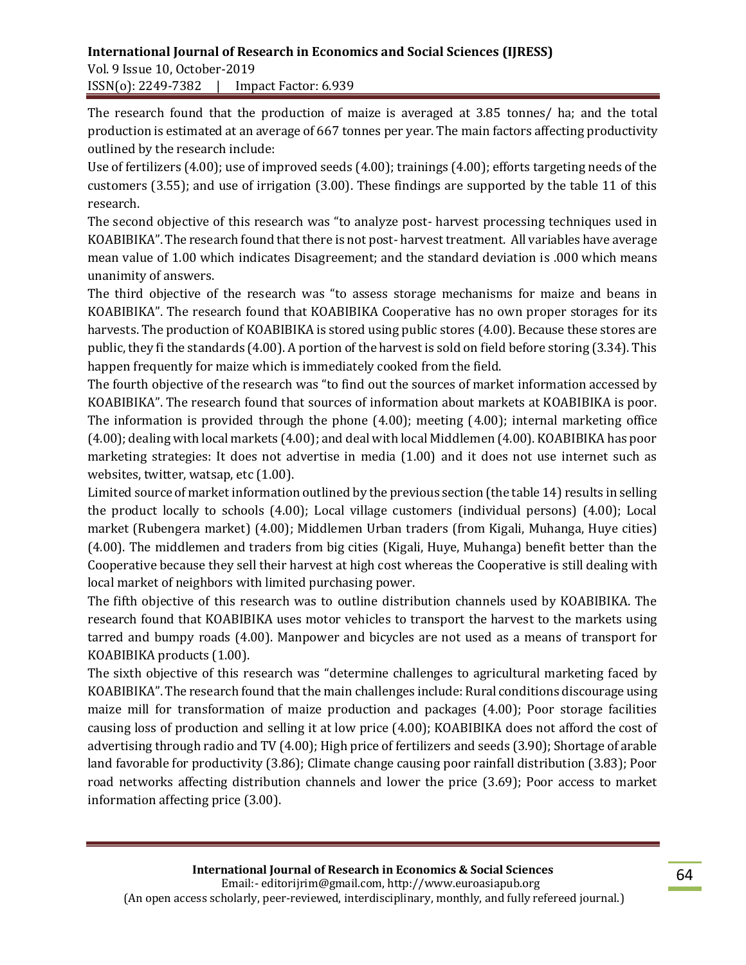Vol. 9 Issue 10, October-2019 ISSN(o): 2249-7382 | Impact Factor: 6.939

The research found that the production of maize is averaged at 3.85 tonnes/ ha; and the total production is estimated at an average of 667 tonnes per year. The main factors affecting productivity outlined by the research include:

Use of fertilizers (4.00); use of improved seeds (4.00); trainings (4.00); efforts targeting needs of the customers (3.55); and use of irrigation (3.00). These findings are supported by the table 11 of this research.

The second objective of this research was "to analyze post- harvest processing techniques used in KOABIBIKA". The research found that there is not post- harvest treatment. All variables have average mean value of 1.00 which indicates Disagreement; and the standard deviation is .000 which means unanimity of answers.

The third objective of the research was "to assess storage mechanisms for maize and beans in KOABIBIKA". The research found that KOABIBIKA Cooperative has no own proper storages for its harvests. The production of KOABIBIKA is stored using public stores (4.00). Because these stores are public, they fi the standards (4.00). A portion of the harvest is sold on field before storing (3.34). This happen frequently for maize which is immediately cooked from the field.

The fourth objective of the research was "to find out the sources of market information accessed by KOABIBIKA". The research found that sources of information about markets at KOABIBIKA is poor. The information is provided through the phone (4.00); meeting (4.00); internal marketing office (4.00); dealing with local markets (4.00); and deal with local Middlemen (4.00). KOABIBIKA has poor marketing strategies: It does not advertise in media (1.00) and it does not use internet such as websites, twitter, watsap, etc (1.00).

Limited source of market information outlined by the previous section (the table 14) results in selling the product locally to schools (4.00); Local village customers (individual persons) (4.00); Local market (Rubengera market) (4.00); Middlemen Urban traders (from Kigali, Muhanga, Huye cities) (4.00). The middlemen and traders from big cities (Kigali, Huye, Muhanga) benefit better than the Cooperative because they sell their harvest at high cost whereas the Cooperative is still dealing with local market of neighbors with limited purchasing power.

The fifth objective of this research was to outline distribution channels used by KOABIBIKA. The research found that KOABIBIKA uses motor vehicles to transport the harvest to the markets using tarred and bumpy roads (4.00). Manpower and bicycles are not used as a means of transport for KOABIBIKA products (1.00).

The sixth objective of this research was "determine challenges to agricultural marketing faced by KOABIBIKA". The research found that the main challenges include: Rural conditions discourage using maize mill for transformation of maize production and packages (4.00); Poor storage facilities causing loss of production and selling it at low price (4.00); KOABIBIKA does not afford the cost of advertising through radio and TV (4.00); High price of fertilizers and seeds (3.90); Shortage of arable land favorable for productivity (3.86); Climate change causing poor rainfall distribution (3.83); Poor road networks affecting distribution channels and lower the price (3.69); Poor access to market information affecting price (3.00).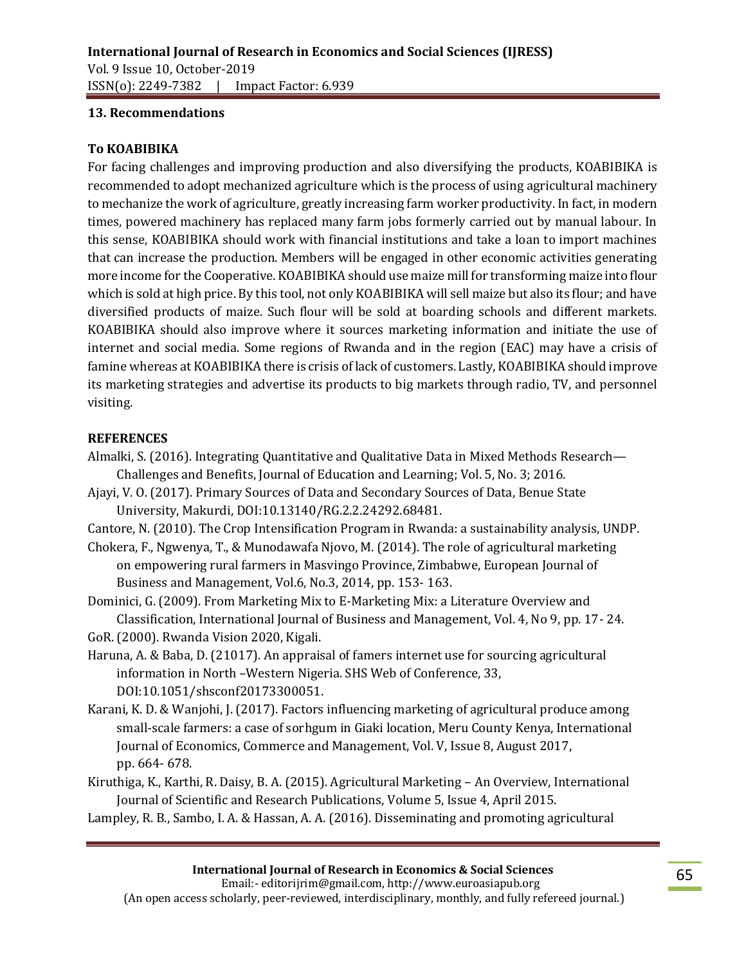#### **13. Recommendations**

#### **To KOABIBIKA**

For facing challenges and improving production and also diversifying the products, KOABIBIKA is recommended to adopt mechanized agriculture which is the process of using agricultural machinery to mechanize the work of agriculture, greatly increasing farm worker productivity. In fact, in modern times, powered machinery has replaced many farm jobs formerly carried out by manual labour. In this sense, KOABIBIKA should work with financial institutions and take a loan to import machines that can increase the production. Members will be engaged in other economic activities generating more income for the Cooperative. KOABIBIKA should use maize mill for transforming maize into flour which is sold at high price. By this tool, not only KOABIBIKA will sell maize but also its flour; and have diversified products of maize. Such flour will be sold at boarding schools and different markets. KOABIBIKA should also improve where it sources marketing information and initiate the use of internet and social media. Some regions of Rwanda and in the region (EAC) may have a crisis of famine whereas at KOABIBIKA there is crisis of lack of customers. Lastly, KOABIBIKA should improve its marketing strategies and advertise its products to big markets through radio, TV, and personnel visiting.

#### **REFERENCES**

- Almalki, S. (2016). Integrating Quantitative and Qualitative Data in Mixed Methods Research— Challenges and Benefits, Journal of Education and Learning; Vol. 5, No. 3; 2016.
- Ajayi, V. O. (2017). Primary Sources of Data and Secondary Sources of Data, Benue State University, Makurdi, DOI:10.13140/RG.2.2.24292.68481.

Cantore, N. (2010). The Crop Intensification Program in Rwanda: a sustainability analysis, UNDP.

Chokera, F., Ngwenya, T., & Munodawafa Njovo, M. (2014). The role of agricultural marketing on empowering rural farmers in Masvingo Province, Zimbabwe, European Journal of Business and Management, Vol.6, No.3, 2014, pp. 153- 163.

Dominici, G. (2009). From Marketing Mix to E-Marketing Mix: a Literature Overview and Classification, International Journal of Business and Management, Vol. 4, No 9, pp. 17- 24. GoR. (2000). Rwanda Vision 2020, Kigali.

- Haruna, A. & Baba, D. (21017). An appraisal of famers internet use for sourcing agricultural information in North –Western Nigeria. SHS Web of Conference, 33, DOI:10.1051/shsconf20173300051.
- Karani, K. D. & Wanjohi, J. (2017). Factors influencing marketing of agricultural produce among small-scale farmers: a case of sorhgum in Giaki location, Meru County Kenya, International Journal of Economics, Commerce and Management, Vol. V, Issue 8, August 2017, pp. 664- 678.
- Kiruthiga, K., Karthi, R. Daisy, B. A. (2015). Agricultural Marketing An Overview, International Journal of Scientific and Research Publications, Volume 5, Issue 4, April 2015.

Lampley, R. B., Sambo, I. A. & Hassan, A. A. (2016). Disseminating and promoting agricultural